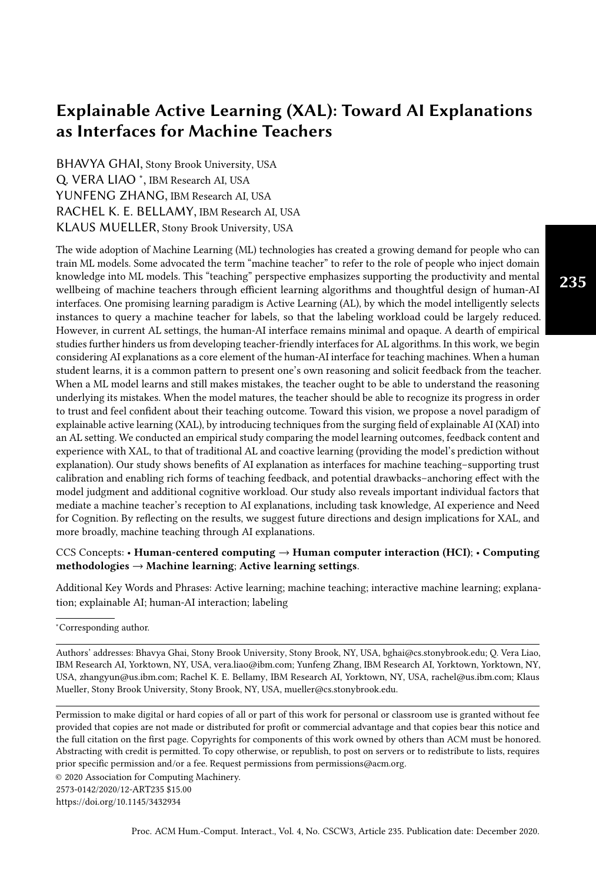# Explainable Active Learning (XAL): Toward AI Explanations as Interfaces for Machine Teachers

BHAVYA GHAI, Stony Brook University, USA Q. VERA LIAO \*, IBM Research AI, USA YUNFENG ZHANG, IBM Research AI, USA RACHEL K. E. BELLAMY, IBM Research AI, USA KLAUS MUELLER, Stony Brook University, USA

The wide adoption of Machine Learning (ML) technologies has created a growing demand for people who can train ML models. Some advocated the term "machine teacher" to refer to the role of people who inject domain knowledge into ML models. This "teaching" perspective emphasizes supporting the productivity and mental wellbeing of machine teachers through efficient learning algorithms and thoughtful design of human-AI interfaces. One promising learning paradigm is Active Learning (AL), by which the model intelligently selects instances to query a machine teacher for labels, so that the labeling workload could be largely reduced. However, in current AL settings, the human-AI interface remains minimal and opaque. A dearth of empirical studies further hinders us from developing teacher-friendly interfaces for AL algorithms. In this work, we begin considering AI explanations as a core element of the human-AI interface for teaching machines. When a human student learns, it is a common pattern to present one's own reasoning and solicit feedback from the teacher. When a ML model learns and still makes mistakes, the teacher ought to be able to understand the reasoning underlying its mistakes. When the model matures, the teacher should be able to recognize its progress in order to trust and feel confident about their teaching outcome. Toward this vision, we propose a novel paradigm of explainable active learning (XAL), by introducing techniques from the surging field of explainable AI (XAI) into an AL setting. We conducted an empirical study comparing the model learning outcomes, feedback content and experience with XAL, to that of traditional AL and coactive learning (providing the model's prediction without explanation). Our study shows benefits of AI explanation as interfaces for machine teaching–supporting trust calibration and enabling rich forms of teaching feedback, and potential drawbacks–anchoring effect with the model judgment and additional cognitive workload. Our study also reveals important individual factors that mediate a machine teacher's reception to AI explanations, including task knowledge, AI experience and Need for Cognition. By reflecting on the results, we suggest future directions and design implications for XAL, and more broadly, machine teaching through AI explanations.

#### CCS Concepts: • Human-centered computing  $\rightarrow$  Human computer interaction (HCI); • Computing methodologies  $\rightarrow$  Machine learning; Active learning settings.

Additional Key Words and Phrases: Active learning; machine teaching; interactive machine learning; explanation; explainable AI; human-AI interaction; labeling

<sup>∗</sup>Corresponding author.

Authors' addresses: Bhavya Ghai, Stony Brook University, Stony Brook, NY, USA, bghai@cs.stonybrook.edu; Q. Vera Liao, IBM Research AI, Yorktown, NY, USA, vera.liao@ibm.com; Yunfeng Zhang, IBM Research AI, Yorktown, Yorktown, NY, USA, zhangyun@us.ibm.com; Rachel K. E. Bellamy, IBM Research AI, Yorktown, NY, USA, rachel@us.ibm.com; Klaus Mueller, Stony Brook University, Stony Brook, NY, USA, mueller@cs.stonybrook.edu.

Permission to make digital or hard copies of all or part of this work for personal or classroom use is granted without fee provided that copies are not made or distributed for profit or commercial advantage and that copies bear this notice and the full citation on the first page. Copyrights for components of this work owned by others than ACM must be honored. Abstracting with credit is permitted. To copy otherwise, or republish, to post on servers or to redistribute to lists, requires prior specific permission and/or a fee. Request permissions from permissions@acm.org.

© 2020 Association for Computing Machinery.

2573-0142/2020/12-ART235 \$15.00

<https://doi.org/10.1145/3432934>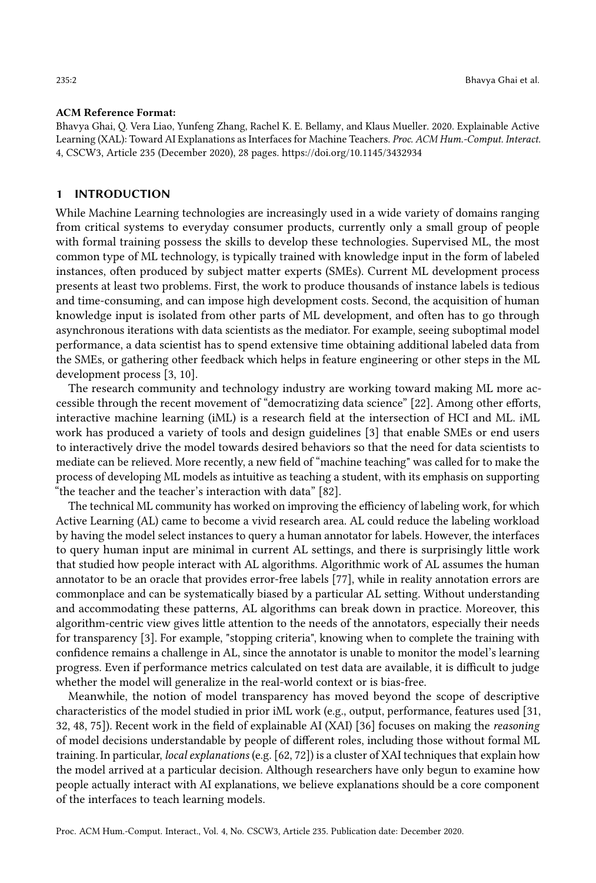#### ACM Reference Format:

Bhavya Ghai, Q. Vera Liao, Yunfeng Zhang, Rachel K. E. Bellamy, and Klaus Mueller. 2020. Explainable Active Learning (XAL): Toward AI Explanations as Interfaces for Machine Teachers. Proc. ACM Hum.-Comput. Interact. 4, CSCW3, Article 235 (December 2020), [28](#page-27-0) pages.<https://doi.org/10.1145/3432934>

#### 1 INTRODUCTION

While Machine Learning technologies are increasingly used in a wide variety of domains ranging from critical systems to everyday consumer products, currently only a small group of people with formal training possess the skills to develop these technologies. Supervised ML, the most common type of ML technology, is typically trained with knowledge input in the form of labeled instances, often produced by subject matter experts (SMEs). Current ML development process presents at least two problems. First, the work to produce thousands of instance labels is tedious and time-consuming, and can impose high development costs. Second, the acquisition of human knowledge input is isolated from other parts of ML development, and often has to go through asynchronous iterations with data scientists as the mediator. For example, seeing suboptimal model performance, a data scientist has to spend extensive time obtaining additional labeled data from the SMEs, or gathering other feedback which helps in feature engineering or other steps in the ML development process [\[3,](#page-23-0) [10\]](#page-24-0).

The research community and technology industry are working toward making ML more accessible through the recent movement of "democratizing data science" [\[22\]](#page-24-1). Among other efforts, interactive machine learning (iML) is a research field at the intersection of HCI and ML. iML work has produced a variety of tools and design guidelines [\[3\]](#page-23-0) that enable SMEs or end users to interactively drive the model towards desired behaviors so that the need for data scientists to mediate can be relieved. More recently, a new field of "machine teaching" was called for to make the process of developing ML models as intuitive as teaching a student, with its emphasis on supporting "the teacher and the teacher's interaction with data" [\[82\]](#page-27-1).

The technical ML community has worked on improving the efficiency of labeling work, for which Active Learning (AL) came to become a vivid research area. AL could reduce the labeling workload by having the model select instances to query a human annotator for labels. However, the interfaces to query human input are minimal in current AL settings, and there is surprisingly little work that studied how people interact with AL algorithms. Algorithmic work of AL assumes the human annotator to be an oracle that provides error-free labels [\[77\]](#page-26-0), while in reality annotation errors are commonplace and can be systematically biased by a particular AL setting. Without understanding and accommodating these patterns, AL algorithms can break down in practice. Moreover, this algorithm-centric view gives little attention to the needs of the annotators, especially their needs for transparency [\[3\]](#page-23-0). For example, "stopping criteria", knowing when to complete the training with confidence remains a challenge in AL, since the annotator is unable to monitor the model's learning progress. Even if performance metrics calculated on test data are available, it is difficult to judge whether the model will generalize in the real-world context or is bias-free.

Meanwhile, the notion of model transparency has moved beyond the scope of descriptive characteristics of the model studied in prior iML work (e.g., output, performance, features used [\[31,](#page-24-2) [32,](#page-25-0) [48,](#page-25-1) [75\]](#page-26-1)). Recent work in the field of explainable AI (XAI) [\[36\]](#page-25-2) focuses on making the reasoning of model decisions understandable by people of different roles, including those without formal ML training. In particular, local explanations (e.g. [\[62,](#page-26-2) [72\]](#page-26-3)) is a cluster of XAI techniques that explain how the model arrived at a particular decision. Although researchers have only begun to examine how people actually interact with AI explanations, we believe explanations should be a core component of the interfaces to teach learning models.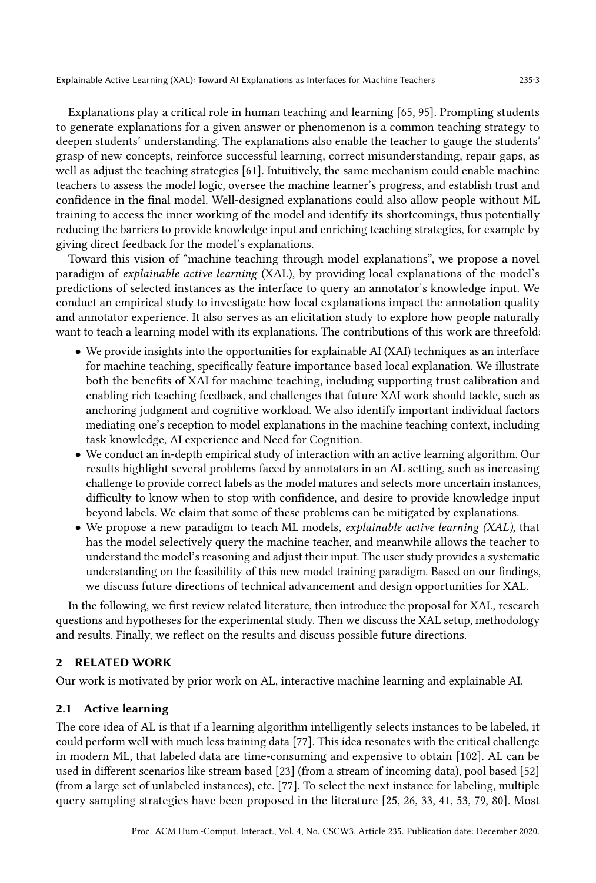Explanations play a critical role in human teaching and learning [\[65,](#page-26-4) [95\]](#page-27-2). Prompting students to generate explanations for a given answer or phenomenon is a common teaching strategy to deepen students' understanding. The explanations also enable the teacher to gauge the students' grasp of new concepts, reinforce successful learning, correct misunderstanding, repair gaps, as well as adjust the teaching strategies [\[61\]](#page-26-5). Intuitively, the same mechanism could enable machine teachers to assess the model logic, oversee the machine learner's progress, and establish trust and confidence in the final model. Well-designed explanations could also allow people without ML training to access the inner working of the model and identify its shortcomings, thus potentially reducing the barriers to provide knowledge input and enriching teaching strategies, for example by giving direct feedback for the model's explanations.

Toward this vision of "machine teaching through model explanations", we propose a novel paradigm of explainable active learning (XAL), by providing local explanations of the model's predictions of selected instances as the interface to query an annotator's knowledge input. We conduct an empirical study to investigate how local explanations impact the annotation quality and annotator experience. It also serves as an elicitation study to explore how people naturally want to teach a learning model with its explanations. The contributions of this work are threefold:

- We provide insights into the opportunities for explainable AI (XAI) techniques as an interface for machine teaching, specifically feature importance based local explanation. We illustrate both the benefits of XAI for machine teaching, including supporting trust calibration and enabling rich teaching feedback, and challenges that future XAI work should tackle, such as anchoring judgment and cognitive workload. We also identify important individual factors mediating one's reception to model explanations in the machine teaching context, including task knowledge, AI experience and Need for Cognition.
- We conduct an in-depth empirical study of interaction with an active learning algorithm. Our results highlight several problems faced by annotators in an AL setting, such as increasing challenge to provide correct labels as the model matures and selects more uncertain instances, difficulty to know when to stop with confidence, and desire to provide knowledge input beyond labels. We claim that some of these problems can be mitigated by explanations.
- We propose a new paradigm to teach ML models, explainable active learning (XAL), that has the model selectively query the machine teacher, and meanwhile allows the teacher to understand the model's reasoning and adjust their input. The user study provides a systematic understanding on the feasibility of this new model training paradigm. Based on our findings, we discuss future directions of technical advancement and design opportunities for XAL.

In the following, we first review related literature, then introduce the proposal for XAL, research questions and hypotheses for the experimental study. Then we discuss the XAL setup, methodology and results. Finally, we reflect on the results and discuss possible future directions.

## 2 RELATED WORK

Our work is motivated by prior work on AL, interactive machine learning and explainable AI.

#### 2.1 Active learning

The core idea of AL is that if a learning algorithm intelligently selects instances to be labeled, it could perform well with much less training data [\[77\]](#page-26-0). This idea resonates with the critical challenge in modern ML, that labeled data are time-consuming and expensive to obtain [\[102\]](#page-27-3). AL can be used in different scenarios like stream based [\[23\]](#page-24-3) (from a stream of incoming data), pool based [\[52\]](#page-25-3) (from a large set of unlabeled instances), etc. [\[77\]](#page-26-0). To select the next instance for labeling, multiple query sampling strategies have been proposed in the literature [\[25,](#page-24-4) [26,](#page-24-5) [33,](#page-25-4) [41,](#page-25-5) [53,](#page-25-6) [79,](#page-26-6) [80\]](#page-26-7). Most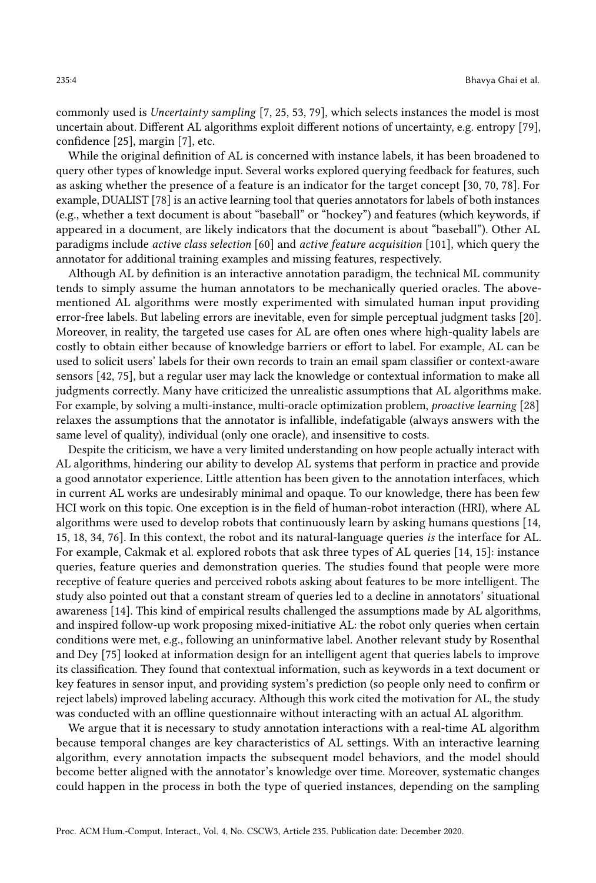commonly used is Uncertainty sampling [\[7,](#page-24-6) [25,](#page-24-4) [53,](#page-25-6) [79\]](#page-26-6), which selects instances the model is most uncertain about. Different AL algorithms exploit different notions of uncertainty, e.g. entropy [\[79\]](#page-26-6), confidence [\[25\]](#page-24-4), margin [\[7\]](#page-24-6), etc.

While the original definition of AL is concerned with instance labels, it has been broadened to query other types of knowledge input. Several works explored querying feedback for features, such as asking whether the presence of a feature is an indicator for the target concept [\[30,](#page-24-7) [70,](#page-26-8) [78\]](#page-26-9). For example, DUALIST [\[78\]](#page-26-9) is an active learning tool that queries annotators for labels of both instances (e.g., whether a text document is about "baseball" or "hockey") and features (which keywords, if appeared in a document, are likely indicators that the document is about "baseball"). Other AL paradigms include active class selection [\[60\]](#page-26-10) and active feature acquisition [\[101\]](#page-27-4), which query the annotator for additional training examples and missing features, respectively.

Although AL by definition is an interactive annotation paradigm, the technical ML community tends to simply assume the human annotators to be mechanically queried oracles. The abovementioned AL algorithms were mostly experimented with simulated human input providing error-free labels. But labeling errors are inevitable, even for simple perceptual judgment tasks [\[20\]](#page-24-8). Moreover, in reality, the targeted use cases for AL are often ones where high-quality labels are costly to obtain either because of knowledge barriers or effort to label. For example, AL can be used to solicit users' labels for their own records to train an email spam classifier or context-aware sensors [\[42,](#page-25-7) [75\]](#page-26-1), but a regular user may lack the knowledge or contextual information to make all judgments correctly. Many have criticized the unrealistic assumptions that AL algorithms make. For example, by solving a multi-instance, multi-oracle optimization problem, proactive learning [\[28\]](#page-24-9) relaxes the assumptions that the annotator is infallible, indefatigable (always answers with the same level of quality), individual (only one oracle), and insensitive to costs.

Despite the criticism, we have a very limited understanding on how people actually interact with AL algorithms, hindering our ability to develop AL systems that perform in practice and provide a good annotator experience. Little attention has been given to the annotation interfaces, which in current AL works are undesirably minimal and opaque. To our knowledge, there has been few HCI work on this topic. One exception is in the field of human-robot interaction (HRI), where AL algorithms were used to develop robots that continuously learn by asking humans questions [\[14,](#page-24-10) [15,](#page-24-11) [18,](#page-24-12) [34,](#page-25-8) [76\]](#page-26-11). In this context, the robot and its natural-language queries is the interface for AL. For example, Cakmak et al. explored robots that ask three types of AL queries [\[14,](#page-24-10) [15\]](#page-24-11): instance queries, feature queries and demonstration queries. The studies found that people were more receptive of feature queries and perceived robots asking about features to be more intelligent. The study also pointed out that a constant stream of queries led to a decline in annotators' situational awareness [\[14\]](#page-24-10). This kind of empirical results challenged the assumptions made by AL algorithms, and inspired follow-up work proposing mixed-initiative AL: the robot only queries when certain conditions were met, e.g., following an uninformative label. Another relevant study by Rosenthal and Dey [\[75\]](#page-26-1) looked at information design for an intelligent agent that queries labels to improve its classification. They found that contextual information, such as keywords in a text document or key features in sensor input, and providing system's prediction (so people only need to confirm or reject labels) improved labeling accuracy. Although this work cited the motivation for AL, the study was conducted with an offline questionnaire without interacting with an actual AL algorithm.

We argue that it is necessary to study annotation interactions with a real-time AL algorithm because temporal changes are key characteristics of AL settings. With an interactive learning algorithm, every annotation impacts the subsequent model behaviors, and the model should become better aligned with the annotator's knowledge over time. Moreover, systematic changes could happen in the process in both the type of queried instances, depending on the sampling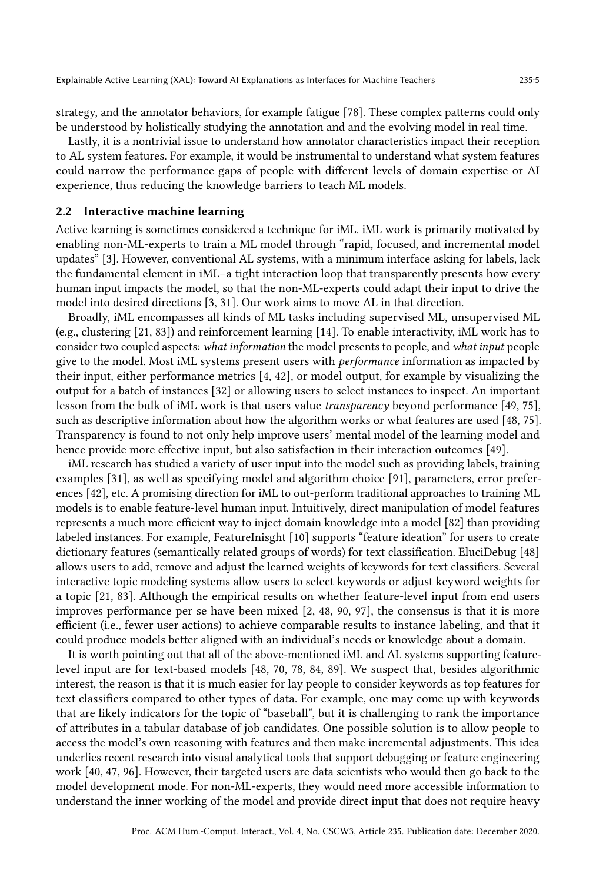strategy, and the annotator behaviors, for example fatigue [\[78\]](#page-26-9). These complex patterns could only be understood by holistically studying the annotation and and the evolving model in real time.

Lastly, it is a nontrivial issue to understand how annotator characteristics impact their reception to AL system features. For example, it would be instrumental to understand what system features could narrow the performance gaps of people with different levels of domain expertise or AI experience, thus reducing the knowledge barriers to teach ML models.

#### 2.2 Interactive machine learning

Active learning is sometimes considered a technique for iML. iML work is primarily motivated by enabling non-ML-experts to train a ML model through "rapid, focused, and incremental model updates" [\[3\]](#page-23-0). However, conventional AL systems, with a minimum interface asking for labels, lack the fundamental element in iML–a tight interaction loop that transparently presents how every human input impacts the model, so that the non-ML-experts could adapt their input to drive the model into desired directions [\[3,](#page-23-0) [31\]](#page-24-2). Our work aims to move AL in that direction.

Broadly, iML encompasses all kinds of ML tasks including supervised ML, unsupervised ML (e.g., clustering [\[21,](#page-24-13) [83\]](#page-27-5)) and reinforcement learning [\[14\]](#page-24-10). To enable interactivity, iML work has to consider two coupled aspects: what information the model presents to people, and what input people give to the model. Most iML systems present users with performance information as impacted by their input, either performance metrics [\[4,](#page-23-1) [42\]](#page-25-7), or model output, for example by visualizing the output for a batch of instances [\[32\]](#page-25-0) or allowing users to select instances to inspect. An important lesson from the bulk of iML work is that users value transparency beyond performance [\[49,](#page-25-9) [75\]](#page-26-1), such as descriptive information about how the algorithm works or what features are used [\[48,](#page-25-1) [75\]](#page-26-1). Transparency is found to not only help improve users' mental model of the learning model and hence provide more effective input, but also satisfaction in their interaction outcomes [\[49\]](#page-25-9).

iML research has studied a variety of user input into the model such as providing labels, training examples [\[31\]](#page-24-2), as well as specifying model and algorithm choice [\[91\]](#page-27-6), parameters, error preferences [\[42\]](#page-25-7), etc. A promising direction for iML to out-perform traditional approaches to training ML models is to enable feature-level human input. Intuitively, direct manipulation of model features represents a much more efficient way to inject domain knowledge into a model [\[82\]](#page-27-1) than providing labeled instances. For example, FeatureInisght [\[10\]](#page-24-0) supports "feature ideation" for users to create dictionary features (semantically related groups of words) for text classification. EluciDebug [\[48\]](#page-25-1) allows users to add, remove and adjust the learned weights of keywords for text classifiers. Several interactive topic modeling systems allow users to select keywords or adjust keyword weights for a topic [\[21,](#page-24-13) [83\]](#page-27-5). Although the empirical results on whether feature-level input from end users improves performance per se have been mixed [\[2,](#page-23-2) [48,](#page-25-1) [90,](#page-27-7) [97\]](#page-27-8), the consensus is that it is more efficient (i.e., fewer user actions) to achieve comparable results to instance labeling, and that it could produce models better aligned with an individual's needs or knowledge about a domain.

It is worth pointing out that all of the above-mentioned iML and AL systems supporting featurelevel input are for text-based models [\[48,](#page-25-1) [70,](#page-26-8) [78,](#page-26-9) [84,](#page-27-9) [89\]](#page-27-10). We suspect that, besides algorithmic interest, the reason is that it is much easier for lay people to consider keywords as top features for text classifiers compared to other types of data. For example, one may come up with keywords that are likely indicators for the topic of "baseball", but it is challenging to rank the importance of attributes in a tabular database of job candidates. One possible solution is to allow people to access the model's own reasoning with features and then make incremental adjustments. This idea underlies recent research into visual analytical tools that support debugging or feature engineering work [\[40,](#page-25-10) [47,](#page-25-11) [96\]](#page-27-11). However, their targeted users are data scientists who would then go back to the model development mode. For non-ML-experts, they would need more accessible information to understand the inner working of the model and provide direct input that does not require heavy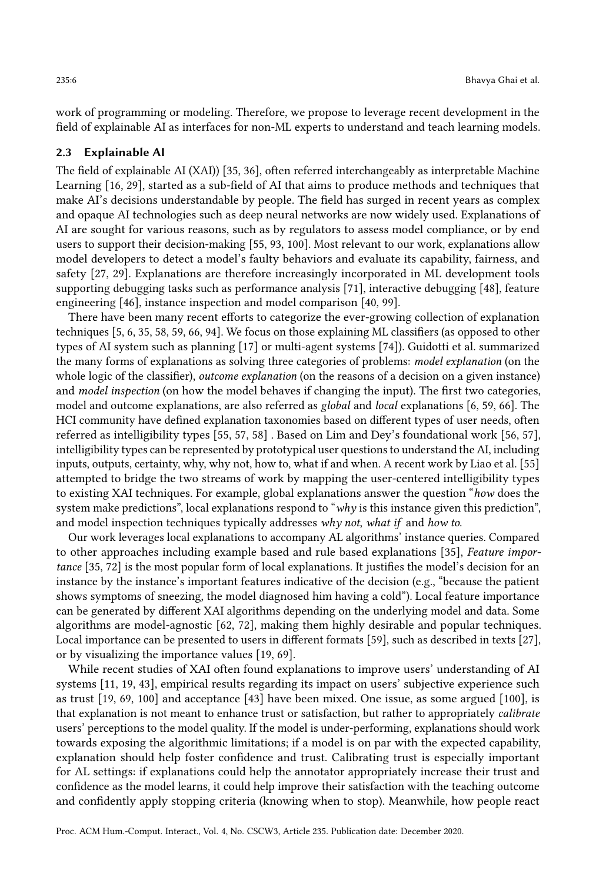work of programming or modeling. Therefore, we propose to leverage recent development in the field of explainable AI as interfaces for non-ML experts to understand and teach learning models.

## <span id="page-5-0"></span>2.3 Explainable AI

The field of explainable AI (XAI)) [\[35,](#page-25-12) [36\]](#page-25-2), often referred interchangeably as interpretable Machine Learning [\[16,](#page-24-14) [29\]](#page-24-15), started as a sub-field of AI that aims to produce methods and techniques that make AI's decisions understandable by people. The field has surged in recent years as complex and opaque AI technologies such as deep neural networks are now widely used. Explanations of AI are sought for various reasons, such as by regulators to assess model compliance, or by end users to support their decision-making [\[55,](#page-25-13) [93,](#page-27-12) [100\]](#page-27-13). Most relevant to our work, explanations allow model developers to detect a model's faulty behaviors and evaluate its capability, fairness, and safety [\[27,](#page-24-16) [29\]](#page-24-15). Explanations are therefore increasingly incorporated in ML development tools supporting debugging tasks such as performance analysis [\[71\]](#page-26-12), interactive debugging [\[48\]](#page-25-1), feature engineering [\[46\]](#page-25-14), instance inspection and model comparison [\[40,](#page-25-10) [99\]](#page-27-14).

There have been many recent efforts to categorize the ever-growing collection of explanation techniques [\[5,](#page-23-3) [6,](#page-23-4) [35,](#page-25-12) [58,](#page-26-13) [59,](#page-26-14) [66,](#page-26-15) [94\]](#page-27-15). We focus on those explaining ML classifiers (as opposed to other types of AI system such as planning [\[17\]](#page-24-17) or multi-agent systems [\[74\]](#page-26-16)). Guidotti et al. summarized the many forms of explanations as solving three categories of problems: model explanation (on the whole logic of the classifier), *outcome explanation* (on the reasons of a decision on a given instance) and model inspection (on how the model behaves if changing the input). The first two categories, model and outcome explanations, are also referred as global and local explanations [\[6,](#page-23-4) [59,](#page-26-14) [66\]](#page-26-15). The HCI community have defined explanation taxonomies based on different types of user needs, often referred as intelligibility types [\[55,](#page-25-13) [57,](#page-26-17) [58\]](#page-26-13) . Based on Lim and Dey's foundational work [\[56,](#page-25-15) [57\]](#page-26-17), intelligibility types can be represented by prototypical user questions to understand the AI, including inputs, outputs, certainty, why, why not, how to, what if and when. A recent work by Liao et al. [\[55\]](#page-25-13) attempted to bridge the two streams of work by mapping the user-centered intelligibility types to existing XAI techniques. For example, global explanations answer the question "how does the system make predictions", local explanations respond to "why is this instance given this prediction", and model inspection techniques typically addresses why not, what if and how to.

Our work leverages local explanations to accompany AL algorithms' instance queries. Compared to other approaches including example based and rule based explanations [\[35\]](#page-25-12), Feature importance [\[35,](#page-25-12) [72\]](#page-26-3) is the most popular form of local explanations. It justifies the model's decision for an instance by the instance's important features indicative of the decision (e.g., "because the patient shows symptoms of sneezing, the model diagnosed him having a cold"). Local feature importance can be generated by different XAI algorithms depending on the underlying model and data. Some algorithms are model-agnostic [\[62,](#page-26-2) [72\]](#page-26-3), making them highly desirable and popular techniques. Local importance can be presented to users in different formats [\[59\]](#page-26-14), such as described in texts [\[27\]](#page-24-16), or by visualizing the importance values [\[19,](#page-24-18) [69\]](#page-26-18).

While recent studies of XAI often found explanations to improve users' understanding of AI systems [\[11,](#page-24-19) [19,](#page-24-18) [43\]](#page-25-16), empirical results regarding its impact on users' subjective experience such as trust [\[19,](#page-24-18) [69,](#page-26-18) [100\]](#page-27-13) and acceptance [\[43\]](#page-25-16) have been mixed. One issue, as some argued [\[100\]](#page-27-13), is that explanation is not meant to enhance trust or satisfaction, but rather to appropriately calibrate users' perceptions to the model quality. If the model is under-performing, explanations should work towards exposing the algorithmic limitations; if a model is on par with the expected capability, explanation should help foster confidence and trust. Calibrating trust is especially important for AL settings: if explanations could help the annotator appropriately increase their trust and confidence as the model learns, it could help improve their satisfaction with the teaching outcome and confidently apply stopping criteria (knowing when to stop). Meanwhile, how people react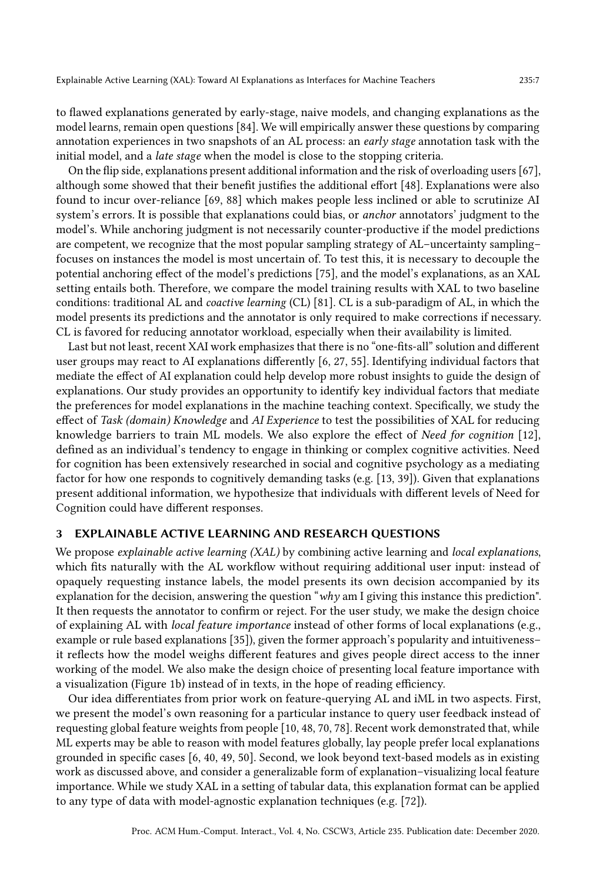to flawed explanations generated by early-stage, naive models, and changing explanations as the model learns, remain open questions [\[84\]](#page-27-9). We will empirically answer these questions by comparing annotation experiences in two snapshots of an AL process: an early stage annotation task with the initial model, and a late stage when the model is close to the stopping criteria.

On the flip side, explanations present additional information and the risk of overloading users [\[67\]](#page-26-19), although some showed that their benefit justifies the additional effort [\[48\]](#page-25-1). Explanations were also found to incur over-reliance [\[69,](#page-26-18) [88\]](#page-27-16) which makes people less inclined or able to scrutinize AI system's errors. It is possible that explanations could bias, or anchor annotators' judgment to the model's. While anchoring judgment is not necessarily counter-productive if the model predictions are competent, we recognize that the most popular sampling strategy of AL–uncertainty sampling– focuses on instances the model is most uncertain of. To test this, it is necessary to decouple the potential anchoring effect of the model's predictions [\[75\]](#page-26-1), and the model's explanations, as an XAL setting entails both. Therefore, we compare the model training results with XAL to two baseline conditions: traditional AL and coactive learning (CL) [\[81\]](#page-26-20). CL is a sub-paradigm of AL, in which the model presents its predictions and the annotator is only required to make corrections if necessary. CL is favored for reducing annotator workload, especially when their availability is limited.

Last but not least, recent XAI work emphasizes that there is no "one-fits-all" solution and different user groups may react to AI explanations differently [\[6,](#page-23-4) [27,](#page-24-16) [55\]](#page-25-13). Identifying individual factors that mediate the effect of AI explanation could help develop more robust insights to guide the design of explanations. Our study provides an opportunity to identify key individual factors that mediate the preferences for model explanations in the machine teaching context. Specifically, we study the effect of Task (domain) Knowledge and AI Experience to test the possibilities of XAL for reducing knowledge barriers to train ML models. We also explore the effect of Need for cognition [\[12\]](#page-24-20), defined as an individual's tendency to engage in thinking or complex cognitive activities. Need for cognition has been extensively researched in social and cognitive psychology as a mediating factor for how one responds to cognitively demanding tasks (e.g. [\[13,](#page-24-21) [39\]](#page-25-17)). Given that explanations present additional information, we hypothesize that individuals with different levels of Need for Cognition could have different responses.

#### 3 EXPLAINABLE ACTIVE LEARNING AND RESEARCH QUESTIONS

We propose explainable active learning (XAL) by combining active learning and local explanations, which fits naturally with the AL workflow without requiring additional user input: instead of opaquely requesting instance labels, the model presents its own decision accompanied by its explanation for the decision, answering the question "why am I giving this instance this prediction". It then requests the annotator to confirm or reject. For the user study, we make the design choice of explaining AL with local feature importance instead of other forms of local explanations (e.g., example or rule based explanations [\[35\]](#page-25-12)), given the former approach's popularity and intuitiveness– it reflects how the model weighs different features and gives people direct access to the inner working of the model. We also make the design choice of presenting local feature importance with a visualization (Figure [1b\)](#page-8-0) instead of in texts, in the hope of reading efficiency.

Our idea differentiates from prior work on feature-querying AL and iML in two aspects. First, we present the model's own reasoning for a particular instance to query user feedback instead of requesting global feature weights from people [\[10,](#page-24-0) [48,](#page-25-1) [70,](#page-26-8) [78\]](#page-26-9). Recent work demonstrated that, while ML experts may be able to reason with model features globally, lay people prefer local explanations grounded in specific cases [\[6,](#page-23-4) [40,](#page-25-10) [49,](#page-25-9) [50\]](#page-25-18). Second, we look beyond text-based models as in existing work as discussed above, and consider a generalizable form of explanation–visualizing local feature importance. While we study XAL in a setting of tabular data, this explanation format can be applied to any type of data with model-agnostic explanation techniques (e.g. [\[72\]](#page-26-3)).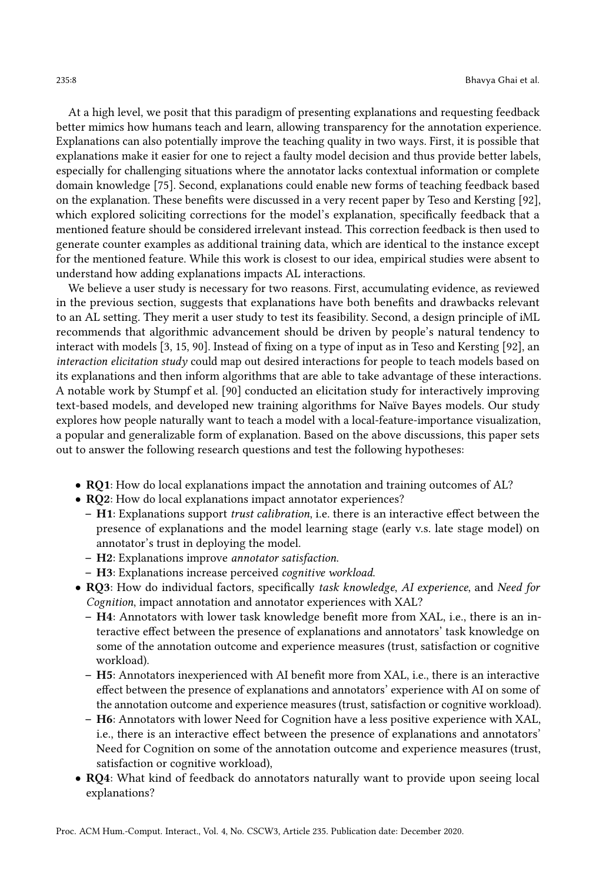At a high level, we posit that this paradigm of presenting explanations and requesting feedback better mimics how humans teach and learn, allowing transparency for the annotation experience. Explanations can also potentially improve the teaching quality in two ways. First, it is possible that explanations make it easier for one to reject a faulty model decision and thus provide better labels, especially for challenging situations where the annotator lacks contextual information or complete domain knowledge [\[75\]](#page-26-1). Second, explanations could enable new forms of teaching feedback based on the explanation. These benefits were discussed in a very recent paper by Teso and Kersting [\[92\]](#page-27-17), which explored soliciting corrections for the model's explanation, specifically feedback that a mentioned feature should be considered irrelevant instead. This correction feedback is then used to generate counter examples as additional training data, which are identical to the instance except for the mentioned feature. While this work is closest to our idea, empirical studies were absent to understand how adding explanations impacts AL interactions.

We believe a user study is necessary for two reasons. First, accumulating evidence, as reviewed in the previous section, suggests that explanations have both benefits and drawbacks relevant to an AL setting. They merit a user study to test its feasibility. Second, a design principle of iML recommends that algorithmic advancement should be driven by people's natural tendency to interact with models [\[3,](#page-23-0) [15,](#page-24-11) [90\]](#page-27-7). Instead of fixing on a type of input as in Teso and Kersting [\[92\]](#page-27-17), an interaction elicitation study could map out desired interactions for people to teach models based on its explanations and then inform algorithms that are able to take advantage of these interactions. A notable work by Stumpf et al. [\[90\]](#page-27-7) conducted an elicitation study for interactively improving text-based models, and developed new training algorithms for Naïve Bayes models. Our study explores how people naturally want to teach a model with a local-feature-importance visualization, a popular and generalizable form of explanation. Based on the above discussions, this paper sets out to answer the following research questions and test the following hypotheses:

- RQ1: How do local explanations impact the annotation and training outcomes of AL?
- RQ2: How do local explanations impact annotator experiences?
	- H1: Explanations support trust calibration, i.e. there is an interactive effect between the presence of explanations and the model learning stage (early v.s. late stage model) on annotator's trust in deploying the model.
	- H2: Explanations improve annotator satisfaction.
	- H3: Explanations increase perceived cognitive workload.
- RQ3: How do individual factors, specifically task knowledge, AI experience, and Need for Cognition, impact annotation and annotator experiences with XAL?
	- H4: Annotators with lower task knowledge benefit more from XAL, i.e., there is an interactive effect between the presence of explanations and annotators' task knowledge on some of the annotation outcome and experience measures (trust, satisfaction or cognitive workload).
	- H5: Annotators inexperienced with AI benefit more from XAL, i.e., there is an interactive effect between the presence of explanations and annotators' experience with AI on some of the annotation outcome and experience measures (trust, satisfaction or cognitive workload).
	- H6: Annotators with lower Need for Cognition have a less positive experience with XAL, i.e., there is an interactive effect between the presence of explanations and annotators' Need for Cognition on some of the annotation outcome and experience measures (trust, satisfaction or cognitive workload),
- RQ4: What kind of feedback do annotators naturally want to provide upon seeing local explanations?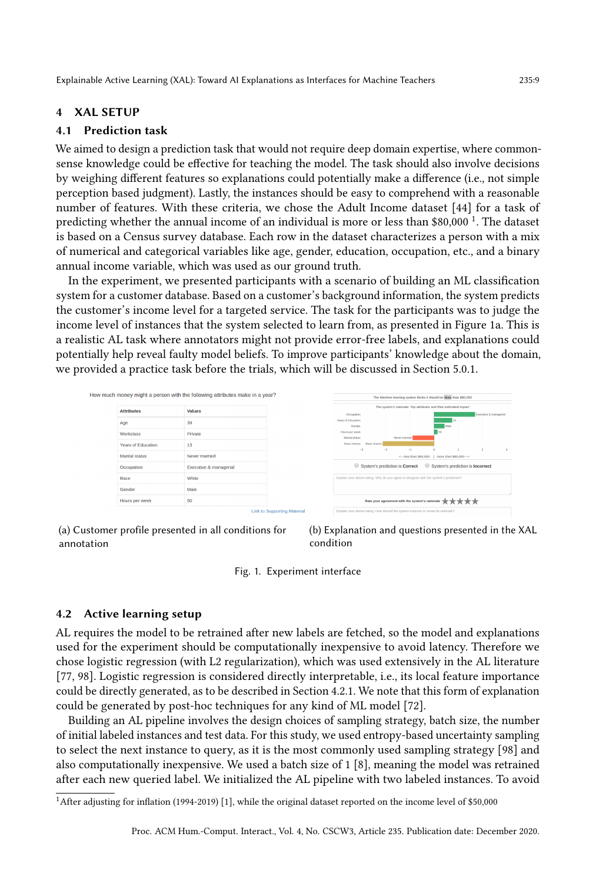Explainable Active Learning (XAL): Toward AI Explanations as Interfaces for Machine Teachers 235:9

## 4 XAL SETUP

## 4.1 Prediction task

We aimed to design a prediction task that would not require deep domain expertise, where commonsense knowledge could be effective for teaching the model. The task should also involve decisions by weighing different features so explanations could potentially make a difference (i.e., not simple perception based judgment). Lastly, the instances should be easy to comprehend with a reasonable number of features. With these criteria, we chose the Adult Income dataset [\[44\]](#page-25-19) for a task of predicting whether the annual income of an individual is more or less than \$80,000 <sup>[1](#page-8-1)</sup>. The dataset is based on a Census survey database. Each row in the dataset characterizes a person with a mix of numerical and categorical variables like age, gender, education, occupation, etc., and a binary annual income variable, which was used as our ground truth.

In the experiment, we presented participants with a scenario of building an ML classification system for a customer database. Based on a customer's background information, the system predicts the customer's income level for a targeted service. The task for the participants was to judge the income level of instances that the system selected to learn from, as presented in Figure [1a.](#page-8-0) This is a realistic AL task where annotators might not provide error-free labels, and explanations could potentially help reveal faulty model beliefs. To improve participants' knowledge about the domain, we provided a practice task before the trials, which will be discussed in Section [5.0.1.](#page-11-0)

<span id="page-8-0"></span>

(a) Customer profile presented in all conditions for annotation



Fig. 1. Experiment interface

## 4.2 Active learning setup

AL requires the model to be retrained after new labels are fetched, so the model and explanations used for the experiment should be computationally inexpensive to avoid latency. Therefore we chose logistic regression (with L2 regularization), which was used extensively in the AL literature [\[77,](#page-26-0) [98\]](#page-27-18). Logistic regression is considered directly interpretable, i.e., its local feature importance could be directly generated, as to be described in Section [4.2.1.](#page-9-0) We note that this form of explanation could be generated by post-hoc techniques for any kind of ML model [\[72\]](#page-26-3).

Building an AL pipeline involves the design choices of sampling strategy, batch size, the number of initial labeled instances and test data. For this study, we used entropy-based uncertainty sampling to select the next instance to query, as it is the most commonly used sampling strategy [\[98\]](#page-27-18) and also computationally inexpensive. We used a batch size of 1 [\[8\]](#page-24-22), meaning the model was retrained after each new queried label. We initialized the AL pipeline with two labeled instances. To avoid

<span id="page-8-1"></span><sup>&</sup>lt;sup>1</sup> After adjusting for inflation (1994-2019) [\[1\]](#page-23-5), while the original dataset reported on the income level of \$50,000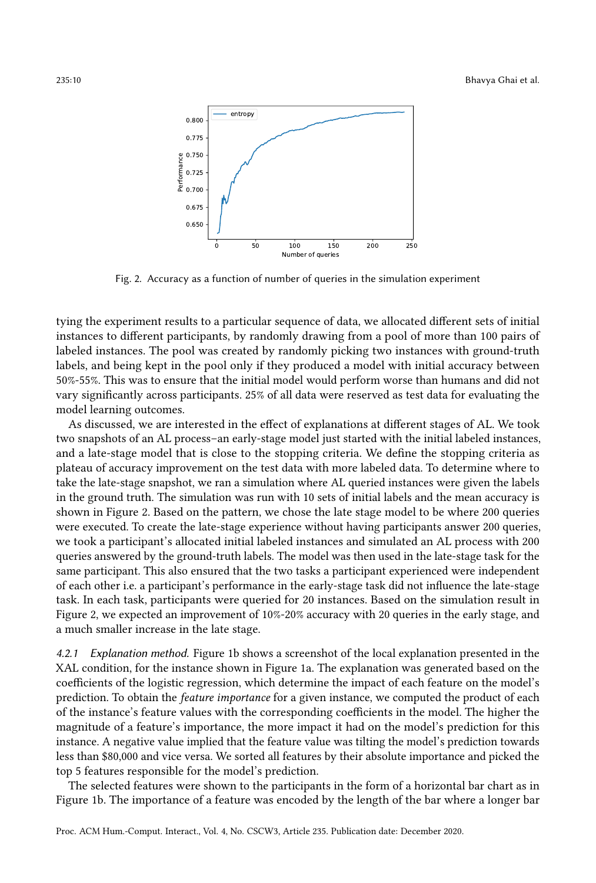<span id="page-9-1"></span>

Fig. 2. Accuracy as a function of number of queries in the simulation experiment

tying the experiment results to a particular sequence of data, we allocated different sets of initial instances to different participants, by randomly drawing from a pool of more than 100 pairs of labeled instances. The pool was created by randomly picking two instances with ground-truth labels, and being kept in the pool only if they produced a model with initial accuracy between 50%-55%. This was to ensure that the initial model would perform worse than humans and did not vary significantly across participants. 25% of all data were reserved as test data for evaluating the model learning outcomes.

As discussed, we are interested in the effect of explanations at different stages of AL. We took two snapshots of an AL process–an early-stage model just started with the initial labeled instances, and a late-stage model that is close to the stopping criteria. We define the stopping criteria as plateau of accuracy improvement on the test data with more labeled data. To determine where to take the late-stage snapshot, we ran a simulation where AL queried instances were given the labels in the ground truth. The simulation was run with 10 sets of initial labels and the mean accuracy is shown in Figure [2.](#page-9-1) Based on the pattern, we chose the late stage model to be where 200 queries were executed. To create the late-stage experience without having participants answer 200 queries, we took a participant's allocated initial labeled instances and simulated an AL process with 200 queries answered by the ground-truth labels. The model was then used in the late-stage task for the same participant. This also ensured that the two tasks a participant experienced were independent of each other i.e. a participant's performance in the early-stage task did not influence the late-stage task. In each task, participants were queried for 20 instances. Based on the simulation result in Figure [2,](#page-9-1) we expected an improvement of 10%-20% accuracy with 20 queries in the early stage, and a much smaller increase in the late stage.

<span id="page-9-0"></span>4.2.1 Explanation method. Figure [1b](#page-8-0) shows a screenshot of the local explanation presented in the XAL condition, for the instance shown in Figure [1a.](#page-8-0) The explanation was generated based on the coefficients of the logistic regression, which determine the impact of each feature on the model's prediction. To obtain the feature importance for a given instance, we computed the product of each of the instance's feature values with the corresponding coefficients in the model. The higher the magnitude of a feature's importance, the more impact it had on the model's prediction for this instance. A negative value implied that the feature value was tilting the model's prediction towards less than \$80,000 and vice versa. We sorted all features by their absolute importance and picked the top 5 features responsible for the model's prediction.

The selected features were shown to the participants in the form of a horizontal bar chart as in Figure [1b.](#page-8-0) The importance of a feature was encoded by the length of the bar where a longer bar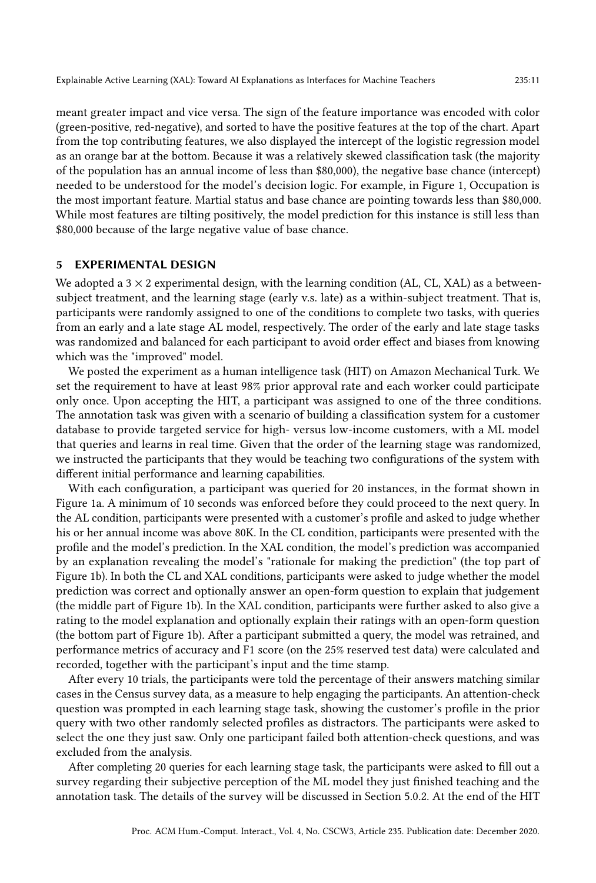Explainable Active Learning (XAL): Toward AI Explanations as Interfaces for Machine Teachers 235:11

meant greater impact and vice versa. The sign of the feature importance was encoded with color (green-positive, red-negative), and sorted to have the positive features at the top of the chart. Apart from the top contributing features, we also displayed the intercept of the logistic regression model as an orange bar at the bottom. Because it was a relatively skewed classification task (the majority of the population has an annual income of less than \$80,000), the negative base chance (intercept) needed to be understood for the model's decision logic. For example, in Figure [1,](#page-8-0) Occupation is the most important feature. Martial status and base chance are pointing towards less than \$80,000. While most features are tilting positively, the model prediction for this instance is still less than \$80,000 because of the large negative value of base chance.

## 5 EXPERIMENTAL DESIGN

We adopted a  $3 \times 2$  experimental design, with the learning condition (AL, CL, XAL) as a betweensubject treatment, and the learning stage (early v.s. late) as a within-subject treatment. That is, participants were randomly assigned to one of the conditions to complete two tasks, with queries from an early and a late stage AL model, respectively. The order of the early and late stage tasks was randomized and balanced for each participant to avoid order effect and biases from knowing which was the "improved" model.

We posted the experiment as a human intelligence task (HIT) on Amazon Mechanical Turk. We set the requirement to have at least 98% prior approval rate and each worker could participate only once. Upon accepting the HIT, a participant was assigned to one of the three conditions. The annotation task was given with a scenario of building a classification system for a customer database to provide targeted service for high- versus low-income customers, with a ML model that queries and learns in real time. Given that the order of the learning stage was randomized, we instructed the participants that they would be teaching two configurations of the system with different initial performance and learning capabilities.

With each configuration, a participant was queried for 20 instances, in the format shown in Figure [1a.](#page-8-0) A minimum of 10 seconds was enforced before they could proceed to the next query. In the AL condition, participants were presented with a customer's profile and asked to judge whether his or her annual income was above 80K. In the CL condition, participants were presented with the profile and the model's prediction. In the XAL condition, the model's prediction was accompanied by an explanation revealing the model's "rationale for making the prediction" (the top part of Figure [1b\)](#page-8-0). In both the CL and XAL conditions, participants were asked to judge whether the model prediction was correct and optionally answer an open-form question to explain that judgement (the middle part of Figure [1b\)](#page-8-0). In the XAL condition, participants were further asked to also give a rating to the model explanation and optionally explain their ratings with an open-form question (the bottom part of Figure [1b\)](#page-8-0). After a participant submitted a query, the model was retrained, and performance metrics of accuracy and F1 score (on the 25% reserved test data) were calculated and recorded, together with the participant's input and the time stamp.

After every 10 trials, the participants were told the percentage of their answers matching similar cases in the Census survey data, as a measure to help engaging the participants. An attention-check question was prompted in each learning stage task, showing the customer's profile in the prior query with two other randomly selected profiles as distractors. The participants were asked to select the one they just saw. Only one participant failed both attention-check questions, and was excluded from the analysis.

After completing 20 queries for each learning stage task, the participants were asked to fill out a survey regarding their subjective perception of the ML model they just finished teaching and the annotation task. The details of the survey will be discussed in Section [5.0.2.](#page-11-1) At the end of the HIT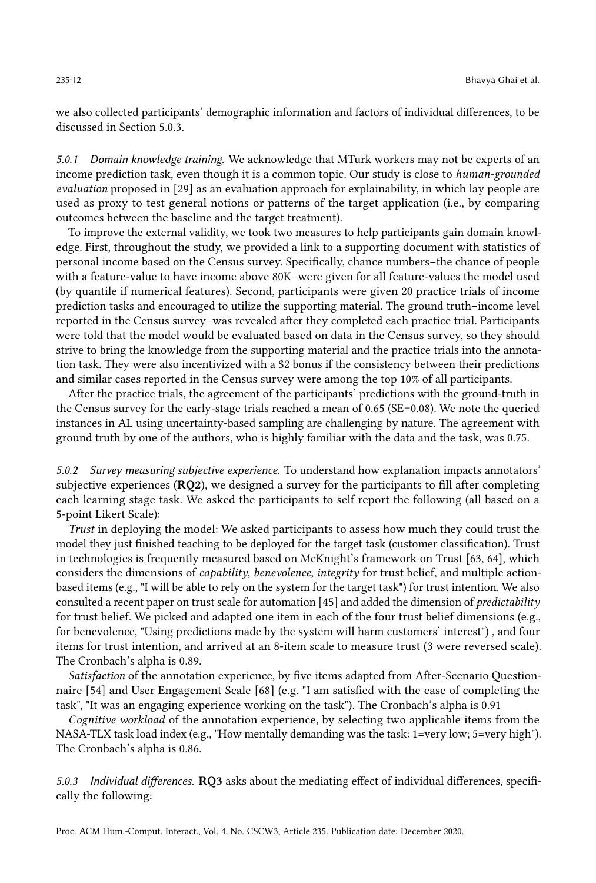we also collected participants' demographic information and factors of individual differences, to be discussed in Section [5.0.3.](#page-11-2)

<span id="page-11-0"></span>5.0.1 Domain knowledge training. We acknowledge that MTurk workers may not be experts of an income prediction task, even though it is a common topic. Our study is close to human-grounded evaluation proposed in [\[29\]](#page-24-15) as an evaluation approach for explainability, in which lay people are used as proxy to test general notions or patterns of the target application (i.e., by comparing outcomes between the baseline and the target treatment).

To improve the external validity, we took two measures to help participants gain domain knowledge. First, throughout the study, we provided a link to a supporting document with statistics of personal income based on the Census survey. Specifically, chance numbers–the chance of people with a feature-value to have income above 80K–were given for all feature-values the model used (by quantile if numerical features). Second, participants were given 20 practice trials of income prediction tasks and encouraged to utilize the supporting material. The ground truth–income level reported in the Census survey–was revealed after they completed each practice trial. Participants were told that the model would be evaluated based on data in the Census survey, so they should strive to bring the knowledge from the supporting material and the practice trials into the annotation task. They were also incentivized with a \$2 bonus if the consistency between their predictions and similar cases reported in the Census survey were among the top 10% of all participants.

After the practice trials, the agreement of the participants' predictions with the ground-truth in the Census survey for the early-stage trials reached a mean of 0.65 (SE=0.08). We note the queried instances in AL using uncertainty-based sampling are challenging by nature. The agreement with ground truth by one of the authors, who is highly familiar with the data and the task, was 0.75.

<span id="page-11-1"></span>5.0.2 Survey measuring subjective experience. To understand how explanation impacts annotators' subjective experiences (RQ2), we designed a survey for the participants to fill after completing each learning stage task. We asked the participants to self report the following (all based on a 5-point Likert Scale):

Trust in deploying the model: We asked participants to assess how much they could trust the model they just finished teaching to be deployed for the target task (customer classification). Trust in technologies is frequently measured based on McKnight's framework on Trust [\[63,](#page-26-21) [64\]](#page-26-22), which considers the dimensions of capability, benevolence, integrity for trust belief, and multiple actionbased items (e.g., "I will be able to rely on the system for the target task") for trust intention. We also consulted a recent paper on trust scale for automation [\[45\]](#page-25-20) and added the dimension of  $predictability$ for trust belief. We picked and adapted one item in each of the four trust belief dimensions (e.g., for benevolence, "Using predictions made by the system will harm customers' interest") , and four items for trust intention, and arrived at an 8-item scale to measure trust (3 were reversed scale). The Cronbach's alpha is 0.89.

Satisfaction of the annotation experience, by five items adapted from After-Scenario Questionnaire [\[54\]](#page-25-21) and User Engagement Scale [\[68\]](#page-26-23) (e.g. "I am satisfied with the ease of completing the task", "It was an engaging experience working on the task"). The Cronbach's alpha is 0.91

Cognitive workload of the annotation experience, by selecting two applicable items from the NASA-TLX task load index (e.g., "How mentally demanding was the task: 1=very low; 5=very high"). The Cronbach's alpha is 0.86.

<span id="page-11-2"></span>5.0.3 Individual differences. RQ3 asks about the mediating effect of individual differences, specifically the following: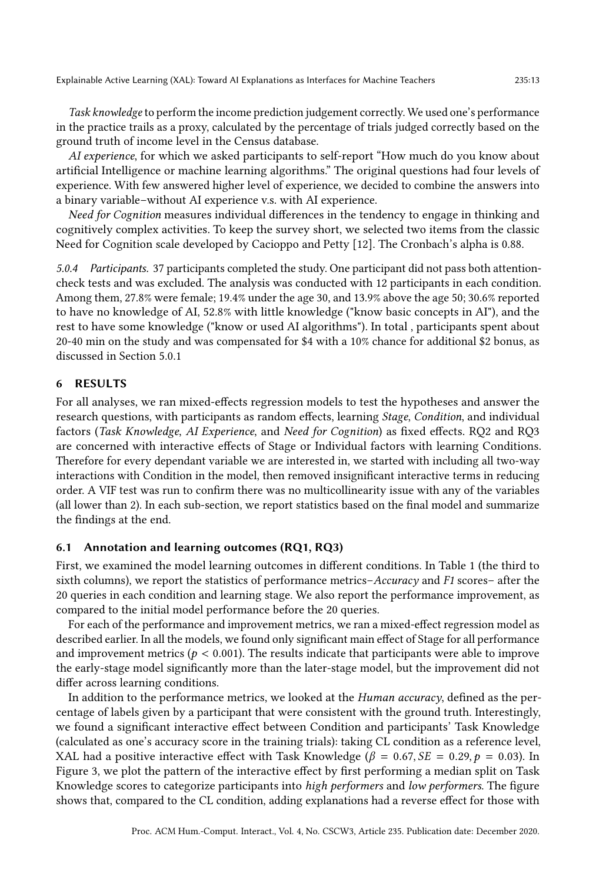Task knowledge to perform the income prediction judgement correctly. We used one's performance in the practice trails as a proxy, calculated by the percentage of trials judged correctly based on the ground truth of income level in the Census database.

AI experience, for which we asked participants to self-report "How much do you know about artificial Intelligence or machine learning algorithms." The original questions had four levels of experience. With few answered higher level of experience, we decided to combine the answers into a binary variable–without AI experience v.s. with AI experience.

Need for Cognition measures individual differences in the tendency to engage in thinking and cognitively complex activities. To keep the survey short, we selected two items from the classic Need for Cognition scale developed by Cacioppo and Petty [\[12\]](#page-24-20). The Cronbach's alpha is 0.88.

5.0.4 Participants. 37 participants completed the study. One participant did not pass both attentioncheck tests and was excluded. The analysis was conducted with 12 participants in each condition. Among them, 27.8% were female; 19.4% under the age 30, and 13.9% above the age 50; 30.6% reported to have no knowledge of AI, 52.8% with little knowledge ("know basic concepts in AI"), and the rest to have some knowledge ("know or used AI algorithms"). In total , participants spent about 20-40 min on the study and was compensated for \$4 with a 10% chance for additional \$2 bonus, as discussed in Section [5.0.1](#page-11-0)

## 6 RESULTS

For all analyses, we ran mixed-effects regression models to test the hypotheses and answer the research questions, with participants as random effects, learning Stage, Condition, and individual factors (Task Knowledge, AI Experience, and Need for Cognition) as fixed effects. RQ2 and RQ3 are concerned with interactive effects of Stage or Individual factors with learning Conditions. Therefore for every dependant variable we are interested in, we started with including all two-way interactions with Condition in the model, then removed insignificant interactive terms in reducing order. A VIF test was run to confirm there was no multicollinearity issue with any of the variables (all lower than 2). In each sub-section, we report statistics based on the final model and summarize the findings at the end.

#### 6.1 Annotation and learning outcomes (RQ1, RQ3)

First, we examined the model learning outcomes in different conditions. In Table [1](#page-13-0) (the third to sixth columns), we report the statistics of performance metrics–Accuracy and F1 scores– after the 20 queries in each condition and learning stage. We also report the performance improvement, as compared to the initial model performance before the 20 queries.

For each of the performance and improvement metrics, we ran a mixed-effect regression model as described earlier. In all the models, we found only significant main effect of Stage for all performance and improvement metrics ( $p < 0.001$ ). The results indicate that participants were able to improve the early-stage model significantly more than the later-stage model, but the improvement did not differ across learning conditions.

In addition to the performance metrics, we looked at the *Human accuracy*, defined as the percentage of labels given by a participant that were consistent with the ground truth. Interestingly, we found a significant interactive effect between Condition and participants' Task Knowledge (calculated as one's accuracy score in the training trials): taking CL condition as a reference level, XAL had a positive interactive effect with Task Knowledge ( $\beta = 0.67$ ,  $SE = 0.29$ ,  $p = 0.03$ ). In Figure [3,](#page-13-1) we plot the pattern of the interactive effect by first performing a median split on Task Knowledge scores to categorize participants into high performers and low performers. The figure shows that, compared to the CL condition, adding explanations had a reverse effect for those with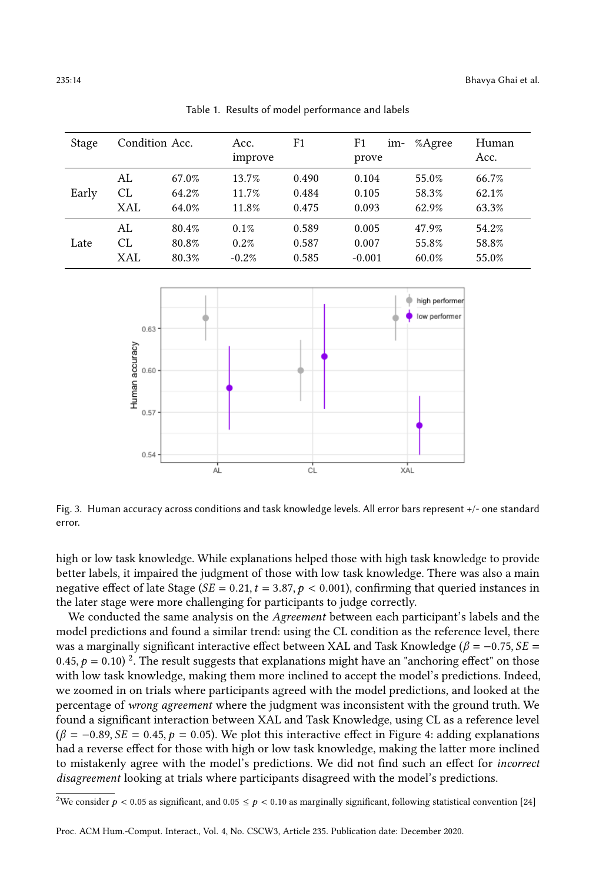<span id="page-13-0"></span>

| Stage | Condition Acc. |       | Acc.<br>improve | F1    | F1<br>im-<br>prove | %Agree | Human<br>Acc. |
|-------|----------------|-------|-----------------|-------|--------------------|--------|---------------|
| Early | AL             | 67.0% | 13.7%           | 0.490 | 0.104              | 55.0%  | 66.7%         |
|       | <b>CL</b>      | 64.2% | 11.7%           | 0.484 | 0.105              | 58.3%  | 62.1%         |
|       | XAL            | 64.0% | 11.8%           | 0.475 | 0.093              | 62.9%  | 63.3%         |
| Late  | AL             | 80.4% | $0.1\%$         | 0.589 | 0.005              | 47.9%  | 54.2%         |
|       | CL             | 80.8% | 0.2%            | 0.587 | 0.007              | 55.8%  | 58.8%         |
|       | XAL            | 80.3% | $-0.2%$         | 0.585 | $-0.001$           | 60.0%  | 55.0%         |

Table 1. Results of model performance and labels

<span id="page-13-1"></span>

Fig. 3. Human accuracy across conditions and task knowledge levels. All error bars represent +/- one standard error.

high or low task knowledge. While explanations helped those with high task knowledge to provide better labels, it impaired the judgment of those with low task knowledge. There was also a main negative effect of late Stage ( $SE = 0.21$ ,  $t = 3.87$ ,  $p < 0.001$ ), confirming that queried instances in the later stage were more challenging for participants to judge correctly.

We conducted the same analysis on the Agreement between each participant's labels and the model predictions and found a similar trend: using the CL condition as the reference level, there was a marginally significant interactive effect between XAL and Task Knowledge ( $\beta = -0.75$ ,  $SE =$ 0.45,  $p = 0.10$ )<sup>[2](#page-13-2)</sup>. The result suggests that explanations might have an "anchoring effect" on those with low task knowledge, making them more inclined to accept the model's predictions. Indeed, we zoomed in on trials where participants agreed with the model predictions, and looked at the percentage of wrong agreement where the judgment was inconsistent with the ground truth. We found a significant interaction between XAL and Task Knowledge, using CL as a reference level  $(\beta = -0.89, SE = 0.45, p = 0.05)$ . We plot this interactive effect in Figure [4:](#page-14-0) adding explanations had a reverse effect for those with high or low task knowledge, making the latter more inclined to mistakenly agree with the model's predictions. We did not find such an effect for incorrect disagreement looking at trials where participants disagreed with the model's predictions.

<span id="page-13-2"></span><sup>&</sup>lt;sup>2</sup>We consider  $p < 0.05$  as significant, and  $0.05 \le p < 0.10$  as marginally significant, following statistical convention [\[24\]](#page-24-23)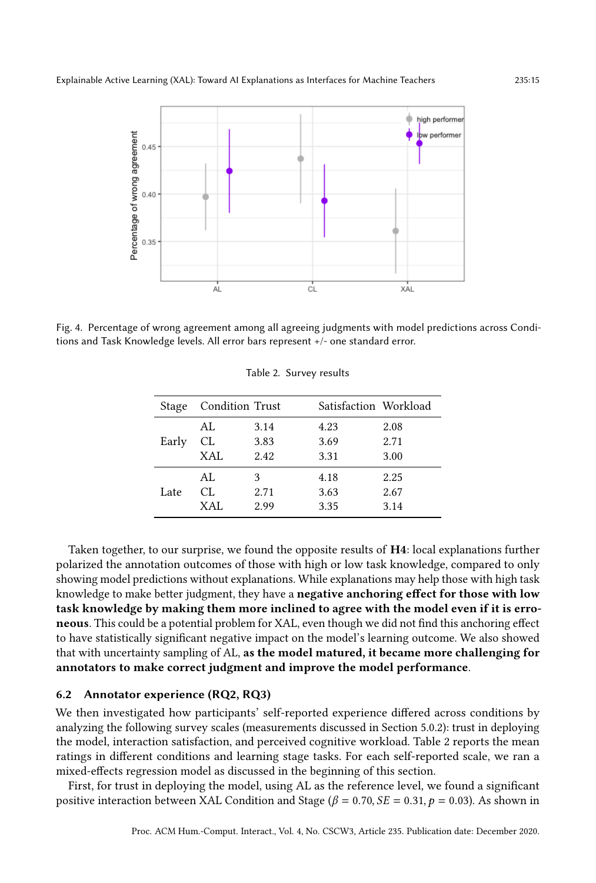<span id="page-14-0"></span>

<span id="page-14-1"></span>Fig. 4. Percentage of wrong agreement among all agreeing judgments with model predictions across Conditions and Task Knowledge levels. All error bars represent +/- one standard error.

| Stage | Condition Trust |      | Satisfaction Workload |      |
|-------|-----------------|------|-----------------------|------|
|       | AL.             | 3.14 | 4.23                  | 2.08 |
| Early | CL              | 3.83 | 3.69                  | 2.71 |
|       | XAL             | 2.42 | 3.31                  | 3.00 |
|       | AL              | 3    | 4.18                  | 2.25 |
| Late  | CL.             | 2.71 | 3.63                  | 2.67 |
|       | XAL             | 2.99 | 3.35                  | 3.14 |

Table 2. Survey results

Taken together, to our surprise, we found the opposite results of H4: local explanations further polarized the annotation outcomes of those with high or low task knowledge, compared to only showing model predictions without explanations. While explanations may help those with high task knowledge to make better judgment, they have a negative anchoring effect for those with low task knowledge by making them more inclined to agree with the model even if it is erroneous. This could be a potential problem for XAL, even though we did not find this anchoring effect to have statistically significant negative impact on the model's learning outcome. We also showed that with uncertainty sampling of AL, as the model matured, it became more challenging for annotators to make correct judgment and improve the model performance.

#### 6.2 Annotator experience (RQ2, RQ3)

We then investigated how participants' self-reported experience differed across conditions by analyzing the following survey scales (measurements discussed in Section [5.0.2\)](#page-11-1): trust in deploying the model, interaction satisfaction, and perceived cognitive workload. Table [2](#page-14-1) reports the mean ratings in different conditions and learning stage tasks. For each self-reported scale, we ran a mixed-effects regression model as discussed in the beginning of this section.

First, for trust in deploying the model, using AL as the reference level, we found a significant positive interaction between XAL Condition and Stage ( $\beta = 0.70$ ,  $SE = 0.31$ ,  $p = 0.03$ ). As shown in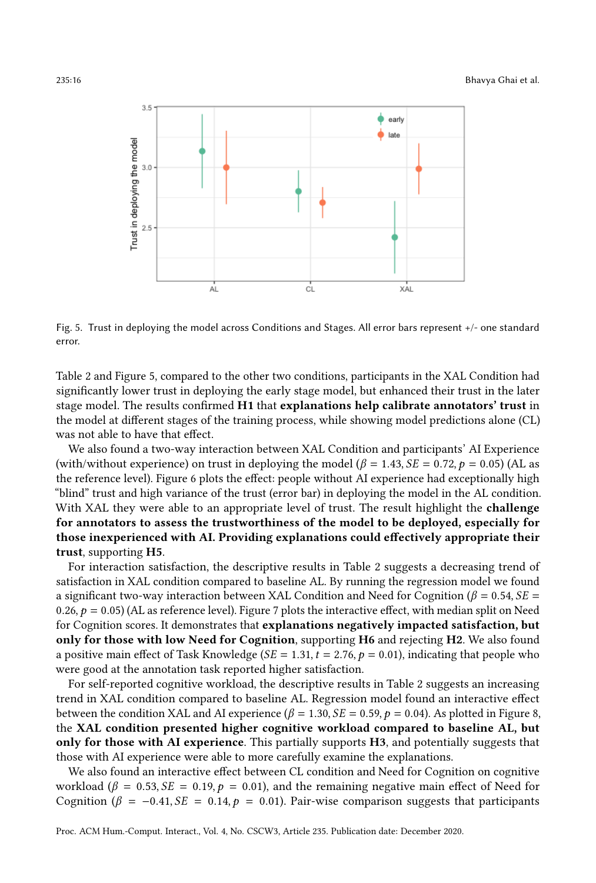<span id="page-15-0"></span>

Fig. 5. Trust in deploying the model across Conditions and Stages. All error bars represent +/- one standard error.

Table [2](#page-14-1) and Figure [5,](#page-15-0) compared to the other two conditions, participants in the XAL Condition had significantly lower trust in deploying the early stage model, but enhanced their trust in the later stage model. The results confirmed H1 that explanations help calibrate annotators' trust in the model at different stages of the training process, while showing model predictions alone (CL) was not able to have that effect.

We also found a two-way interaction between XAL Condition and participants' AI Experience (with/without experience) on trust in deploying the model ( $\beta = 1.43$ ,  $SE = 0.72$ ,  $p = 0.05$ ) (AL as the reference level). Figure [6](#page-16-0) plots the effect: people without AI experience had exceptionally high "blind" trust and high variance of the trust (error bar) in deploying the model in the AL condition. With XAL they were able to an appropriate level of trust. The result highlight the **challenge** for annotators to assess the trustworthiness of the model to be deployed, especially for those inexperienced with AI. Providing explanations could effectively appropriate their trust, supporting H5.

For interaction satisfaction, the descriptive results in Table [2](#page-14-1) suggests a decreasing trend of satisfaction in XAL condition compared to baseline AL. By running the regression model we found a significant two-way interaction between XAL Condition and Need for Cognition ( $\beta = 0.54$ ,  $SE =$ 0.26,  $p = 0.05$ ) (AL as reference level). Figure [7](#page-16-1) plots the interactive effect, with median split on Need for Cognition scores. It demonstrates that explanations negatively impacted satisfaction, but only for those with low Need for Cognition, supporting H6 and rejecting H2. We also found a positive main effect of Task Knowledge ( $SE = 1.31$ ,  $t = 2.76$ ,  $p = 0.01$ ), indicating that people who were good at the annotation task reported higher satisfaction.

For self-reported cognitive workload, the descriptive results in Table [2](#page-14-1) suggests an increasing trend in XAL condition compared to baseline AL. Regression model found an interactive effect between the condition XAL and AI experience ( $\beta = 1.30$ ,  $SE = 0.59$ ,  $p = 0.04$ ). As plotted in Figure [8,](#page-17-0) the XAL condition presented higher cognitive workload compared to baseline AL, but only for those with AI experience. This partially supports H3, and potentially suggests that those with AI experience were able to more carefully examine the explanations.

We also found an interactive effect between CL condition and Need for Cognition on cognitive workload ( $\beta = 0.53$ ,  $SE = 0.19$ ,  $p = 0.01$ ), and the remaining negative main effect of Need for Cognition ( $\beta = -0.41, SE = 0.14, p = 0.01$ ). Pair-wise comparison suggests that participants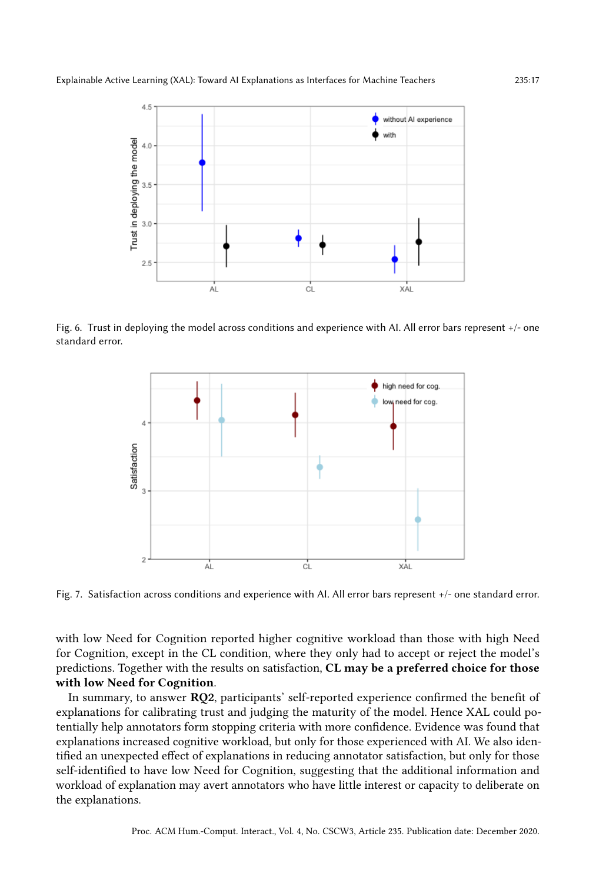<span id="page-16-0"></span>

<span id="page-16-1"></span>Fig. 6. Trust in deploying the model across conditions and experience with AI. All error bars represent +/- one standard error.



Fig. 7. Satisfaction across conditions and experience with AI. All error bars represent +/- one standard error.

with low Need for Cognition reported higher cognitive workload than those with high Need for Cognition, except in the CL condition, where they only had to accept or reject the model's predictions. Together with the results on satisfaction, CL may be a preferred choice for those with low Need for Cognition.

In summary, to answer RQ2, participants' self-reported experience confirmed the benefit of explanations for calibrating trust and judging the maturity of the model. Hence XAL could potentially help annotators form stopping criteria with more confidence. Evidence was found that explanations increased cognitive workload, but only for those experienced with AI. We also identified an unexpected effect of explanations in reducing annotator satisfaction, but only for those self-identified to have low Need for Cognition, suggesting that the additional information and workload of explanation may avert annotators who have little interest or capacity to deliberate on the explanations.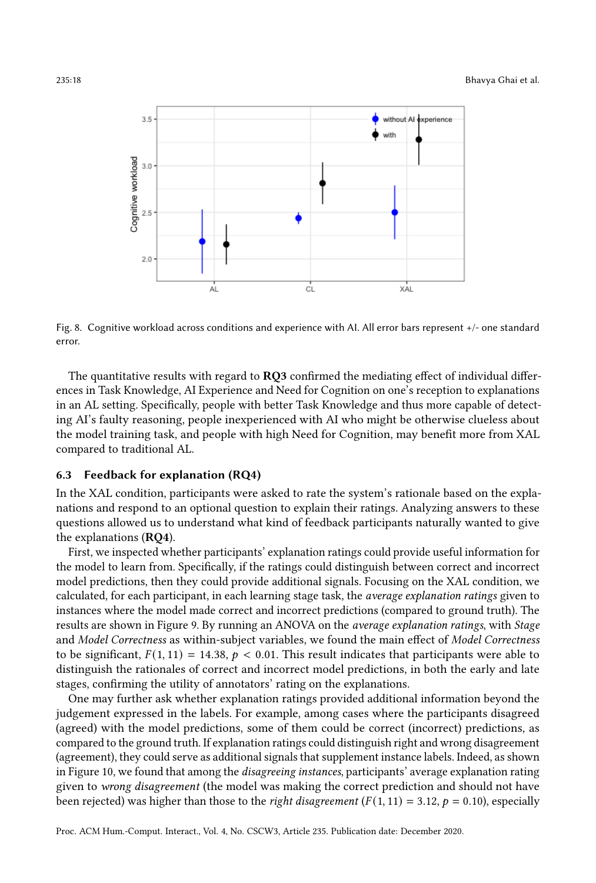<span id="page-17-0"></span>

Fig. 8. Cognitive workload across conditions and experience with AI. All error bars represent +/- one standard error.

The quantitative results with regard to RQ3 confirmed the mediating effect of individual differences in Task Knowledge, AI Experience and Need for Cognition on one's reception to explanations in an AL setting. Specifically, people with better Task Knowledge and thus more capable of detecting AI's faulty reasoning, people inexperienced with AI who might be otherwise clueless about the model training task, and people with high Need for Cognition, may benefit more from XAL compared to traditional AL.

## 6.3 Feedback for explanation (RQ4)

In the XAL condition, participants were asked to rate the system's rationale based on the explanations and respond to an optional question to explain their ratings. Analyzing answers to these questions allowed us to understand what kind of feedback participants naturally wanted to give the explanations (RQ4).

First, we inspected whether participants' explanation ratings could provide useful information for the model to learn from. Specifically, if the ratings could distinguish between correct and incorrect model predictions, then they could provide additional signals. Focusing on the XAL condition, we calculated, for each participant, in each learning stage task, the average explanation ratings given to instances where the model made correct and incorrect predictions (compared to ground truth). The results are shown in Figure [9.](#page-18-0) By running an ANOVA on the average explanation ratings, with Stage and Model Correctness as within-subject variables, we found the main effect of Model Correctness to be significant,  $F(1, 11) = 14.38$ ,  $p < 0.01$ . This result indicates that participants were able to distinguish the rationales of correct and incorrect model predictions, in both the early and late stages, confirming the utility of annotators' rating on the explanations.

One may further ask whether explanation ratings provided additional information beyond the judgement expressed in the labels. For example, among cases where the participants disagreed (agreed) with the model predictions, some of them could be correct (incorrect) predictions, as compared to the ground truth. If explanation ratings could distinguish right and wrong disagreement (agreement), they could serve as additional signals that supplement instance labels. Indeed, as shown in Figure [10,](#page-18-1) we found that among the disagreeing instances, participants' average explanation rating given to wrong disagreement (the model was making the correct prediction and should not have been rejected) was higher than those to the right disagreement  $(F(1, 11) = 3.12, p = 0.10)$ , especially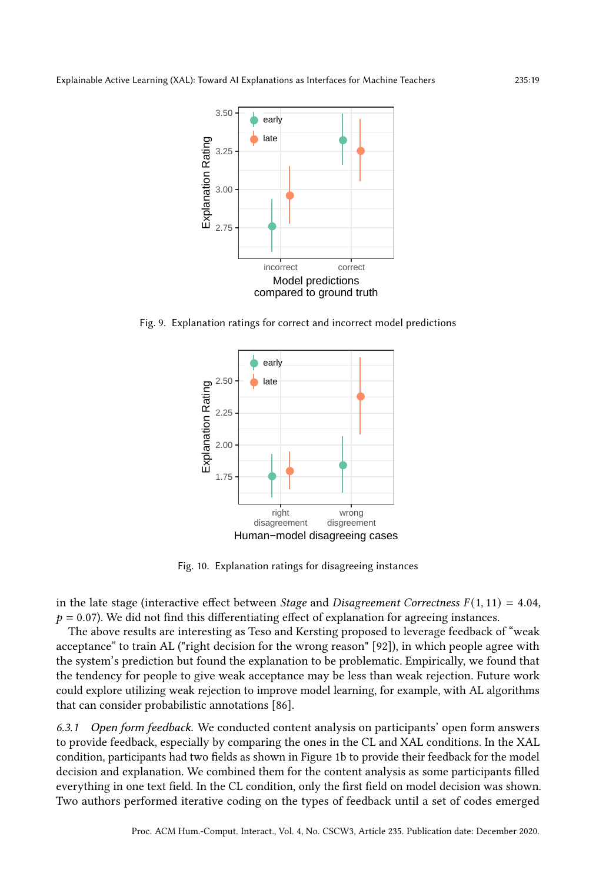<span id="page-18-0"></span>

<span id="page-18-1"></span>Fig. 9. Explanation ratings for correct and incorrect model predictions



Fig. 10. Explanation ratings for disagreeing instances

in the late stage (interactive effect between *Stage* and *Disagreement Correctness*  $F(1, 11) = 4.04$ *,*  $p = 0.07$ ). We did not find this differentiating effect of explanation for agreeing instances.

The above results are interesting as Teso and Kersting proposed to leverage feedback of "weak acceptance" to train AL ("right decision for the wrong reason" [\[92\]](#page-27-17)), in which people agree with the system's prediction but found the explanation to be problematic. Empirically, we found that the tendency for people to give weak acceptance may be less than weak rejection. Future work could explore utilizing weak rejection to improve model learning, for example, with AL algorithms that can consider probabilistic annotations [\[86\]](#page-27-19).

<span id="page-18-2"></span>6.3.1 Open form feedback. We conducted content analysis on participants' open form answers to provide feedback, especially by comparing the ones in the CL and XAL conditions. In the XAL condition, participants had two fields as shown in Figure [1b](#page-8-0) to provide their feedback for the model decision and explanation. We combined them for the content analysis as some participants filled everything in one text field. In the CL condition, only the first field on model decision was shown. Two authors performed iterative coding on the types of feedback until a set of codes emerged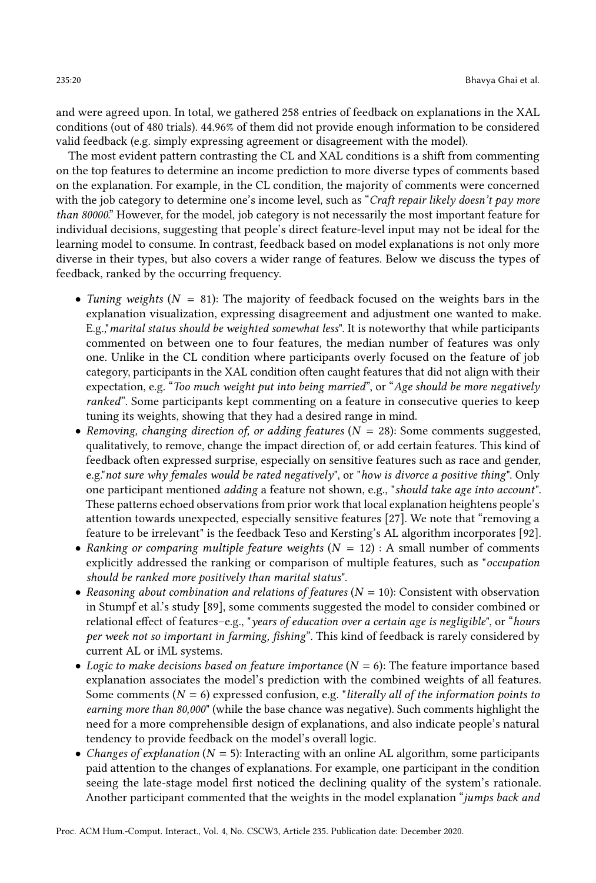and were agreed upon. In total, we gathered 258 entries of feedback on explanations in the XAL conditions (out of 480 trials). 44.96% of them did not provide enough information to be considered valid feedback (e.g. simply expressing agreement or disagreement with the model).

The most evident pattern contrasting the CL and XAL conditions is a shift from commenting on the top features to determine an income prediction to more diverse types of comments based on the explanation. For example, in the CL condition, the majority of comments were concerned with the job category to determine one's income level, such as "Craft repair likely doesn't pay more than 80000." However, for the model, job category is not necessarily the most important feature for individual decisions, suggesting that people's direct feature-level input may not be ideal for the learning model to consume. In contrast, feedback based on model explanations is not only more diverse in their types, but also covers a wider range of features. Below we discuss the types of feedback, ranked by the occurring frequency.

- Tuning weights ( $N = 81$ ): The majority of feedback focused on the weights bars in the explanation visualization, expressing disagreement and adjustment one wanted to make. E.g.,"marital status should be weighted somewhat less". It is noteworthy that while participants commented on between one to four features, the median number of features was only one. Unlike in the CL condition where participants overly focused on the feature of job category, participants in the XAL condition often caught features that did not align with their expectation, e.g. "Too much weight put into being married", or "Age should be more negatively ranked". Some participants kept commenting on a feature in consecutive queries to keep tuning its weights, showing that they had a desired range in mind.
- Removing, changing direction of, or adding features ( $N = 28$ ): Some comments suggested, qualitatively, to remove, change the impact direction of, or add certain features. This kind of feedback often expressed surprise, especially on sensitive features such as race and gender, e.g." not sure why females would be rated negatively", or "how is divorce a positive thing". Only one participant mentioned adding a feature not shown, e.g., "should take age into account". These patterns echoed observations from prior work that local explanation heightens people's attention towards unexpected, especially sensitive features [\[27\]](#page-24-16). We note that "removing a feature to be irrelevant" is the feedback Teso and Kersting's AL algorithm incorporates [\[92\]](#page-27-17).
- Ranking or comparing multiple feature weights  $(N = 12)$ : A small number of comments explicitly addressed the ranking or comparison of multiple features, such as "occupation should be ranked more positively than marital status".
- Reasoning about combination and relations of features ( $N = 10$ ): Consistent with observation in Stumpf et al.'s study [\[89\]](#page-27-10), some comments suggested the model to consider combined or relational effect of features–e.g., "years of education over a certain age is negligible", or "hours per week not so important in farming, fishing". This kind of feedback is rarely considered by current AL or iML systems.
- Logic to make decisions based on feature importance  $(N = 6)$ : The feature importance based explanation associates the model's prediction with the combined weights of all features. Some comments ( $N = 6$ ) expressed confusion, e.g. "literally all of the information points to earning more than 80,000" (while the base chance was negative). Such comments highlight the need for a more comprehensible design of explanations, and also indicate people's natural tendency to provide feedback on the model's overall logic.
- Changes of explanation ( $N = 5$ ): Interacting with an online AL algorithm, some participants paid attention to the changes of explanations. For example, one participant in the condition seeing the late-stage model first noticed the declining quality of the system's rationale. Another participant commented that the weights in the model explanation "jumps back and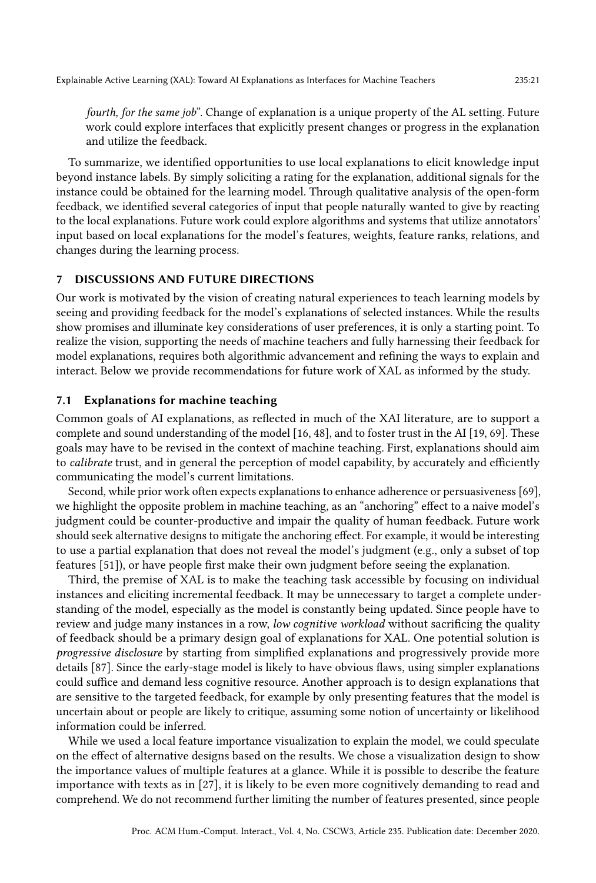fourth, for the same job". Change of explanation is a unique property of the AL setting. Future work could explore interfaces that explicitly present changes or progress in the explanation and utilize the feedback.

To summarize, we identified opportunities to use local explanations to elicit knowledge input beyond instance labels. By simply soliciting a rating for the explanation, additional signals for the instance could be obtained for the learning model. Through qualitative analysis of the open-form feedback, we identified several categories of input that people naturally wanted to give by reacting to the local explanations. Future work could explore algorithms and systems that utilize annotators' input based on local explanations for the model's features, weights, feature ranks, relations, and changes during the learning process.

# 7 DISCUSSIONS AND FUTURE DIRECTIONS

Our work is motivated by the vision of creating natural experiences to teach learning models by seeing and providing feedback for the model's explanations of selected instances. While the results show promises and illuminate key considerations of user preferences, it is only a starting point. To realize the vision, supporting the needs of machine teachers and fully harnessing their feedback for model explanations, requires both algorithmic advancement and refining the ways to explain and interact. Below we provide recommendations for future work of XAL as informed by the study.

#### 7.1 Explanations for machine teaching

Common goals of AI explanations, as reflected in much of the XAI literature, are to support a complete and sound understanding of the model [\[16,](#page-24-14) [48\]](#page-25-1), and to foster trust in the AI [\[19,](#page-24-18) [69\]](#page-26-18). These goals may have to be revised in the context of machine teaching. First, explanations should aim to calibrate trust, and in general the perception of model capability, by accurately and efficiently communicating the model's current limitations.

Second, while prior work often expects explanations to enhance adherence or persuasiveness [\[69\]](#page-26-18), we highlight the opposite problem in machine teaching, as an "anchoring" effect to a naive model's judgment could be counter-productive and impair the quality of human feedback. Future work should seek alternative designs to mitigate the anchoring effect. For example, it would be interesting to use a partial explanation that does not reveal the model's judgment (e.g., only a subset of top features [\[51\]](#page-25-22)), or have people first make their own judgment before seeing the explanation.

Third, the premise of XAL is to make the teaching task accessible by focusing on individual instances and eliciting incremental feedback. It may be unnecessary to target a complete understanding of the model, especially as the model is constantly being updated. Since people have to review and judge many instances in a row, low cognitive workload without sacrificing the quality of feedback should be a primary design goal of explanations for XAL. One potential solution is progressive disclosure by starting from simplified explanations and progressively provide more details [\[87\]](#page-27-20). Since the early-stage model is likely to have obvious flaws, using simpler explanations could suffice and demand less cognitive resource. Another approach is to design explanations that are sensitive to the targeted feedback, for example by only presenting features that the model is uncertain about or people are likely to critique, assuming some notion of uncertainty or likelihood information could be inferred.

While we used a local feature importance visualization to explain the model, we could speculate on the effect of alternative designs based on the results. We chose a visualization design to show the importance values of multiple features at a glance. While it is possible to describe the feature importance with texts as in [\[27\]](#page-24-16), it is likely to be even more cognitively demanding to read and comprehend. We do not recommend further limiting the number of features presented, since people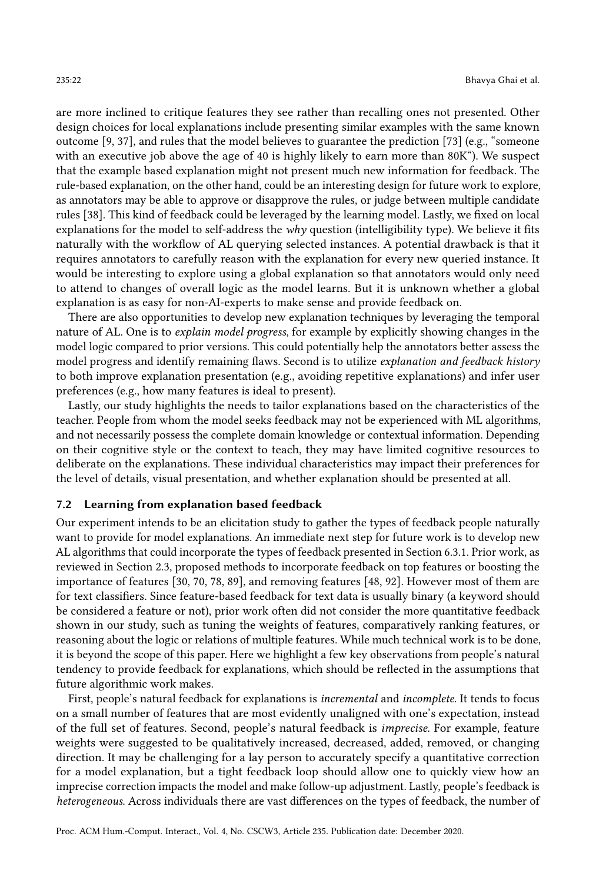are more inclined to critique features they see rather than recalling ones not presented. Other design choices for local explanations include presenting similar examples with the same known outcome [\[9,](#page-24-24) [37\]](#page-25-23), and rules that the model believes to guarantee the prediction [\[73\]](#page-26-24) (e.g., "someone with an executive job above the age of 40 is highly likely to earn more than 80K"). We suspect that the example based explanation might not present much new information for feedback. The rule-based explanation, on the other hand, could be an interesting design for future work to explore, as annotators may be able to approve or disapprove the rules, or judge between multiple candidate rules [\[38\]](#page-25-24). This kind of feedback could be leveraged by the learning model. Lastly, we fixed on local explanations for the model to self-address the why question (intelligibility type). We believe it fits naturally with the workflow of AL querying selected instances. A potential drawback is that it requires annotators to carefully reason with the explanation for every new queried instance. It would be interesting to explore using a global explanation so that annotators would only need to attend to changes of overall logic as the model learns. But it is unknown whether a global explanation is as easy for non-AI-experts to make sense and provide feedback on.

There are also opportunities to develop new explanation techniques by leveraging the temporal nature of AL. One is to explain model progress, for example by explicitly showing changes in the model logic compared to prior versions. This could potentially help the annotators better assess the model progress and identify remaining flaws. Second is to utilize explanation and feedback history to both improve explanation presentation (e.g., avoiding repetitive explanations) and infer user preferences (e.g., how many features is ideal to present).

Lastly, our study highlights the needs to tailor explanations based on the characteristics of the teacher. People from whom the model seeks feedback may not be experienced with ML algorithms, and not necessarily possess the complete domain knowledge or contextual information. Depending on their cognitive style or the context to teach, they may have limited cognitive resources to deliberate on the explanations. These individual characteristics may impact their preferences for the level of details, visual presentation, and whether explanation should be presented at all.

## 7.2 Learning from explanation based feedback

Our experiment intends to be an elicitation study to gather the types of feedback people naturally want to provide for model explanations. An immediate next step for future work is to develop new AL algorithms that could incorporate the types of feedback presented in Section [6.3.1.](#page-18-2) Prior work, as reviewed in Section [2.3,](#page-5-0) proposed methods to incorporate feedback on top features or boosting the importance of features [\[30,](#page-24-7) [70,](#page-26-8) [78,](#page-26-9) [89\]](#page-27-10), and removing features [\[48,](#page-25-1) [92\]](#page-27-17). However most of them are for text classifiers. Since feature-based feedback for text data is usually binary (a keyword should be considered a feature or not), prior work often did not consider the more quantitative feedback shown in our study, such as tuning the weights of features, comparatively ranking features, or reasoning about the logic or relations of multiple features. While much technical work is to be done, it is beyond the scope of this paper. Here we highlight a few key observations from people's natural tendency to provide feedback for explanations, which should be reflected in the assumptions that future algorithmic work makes.

First, people's natural feedback for explanations is incremental and incomplete. It tends to focus on a small number of features that are most evidently unaligned with one's expectation, instead of the full set of features. Second, people's natural feedback is imprecise. For example, feature weights were suggested to be qualitatively increased, decreased, added, removed, or changing direction. It may be challenging for a lay person to accurately specify a quantitative correction for a model explanation, but a tight feedback loop should allow one to quickly view how an imprecise correction impacts the model and make follow-up adjustment. Lastly, people's feedback is heterogeneous. Across individuals there are vast differences on the types of feedback, the number of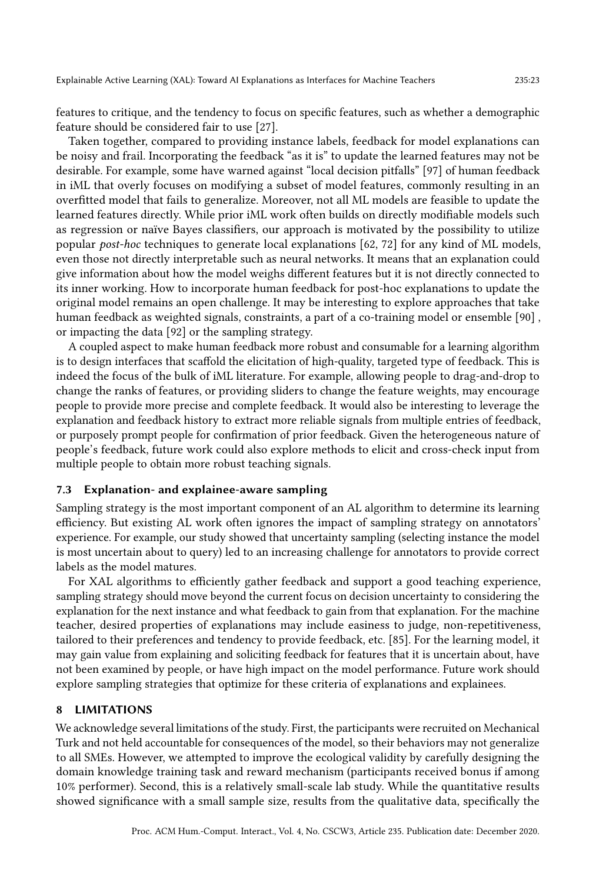features to critique, and the tendency to focus on specific features, such as whether a demographic feature should be considered fair to use [\[27\]](#page-24-16).

Taken together, compared to providing instance labels, feedback for model explanations can be noisy and frail. Incorporating the feedback "as it is" to update the learned features may not be desirable. For example, some have warned against "local decision pitfalls" [\[97\]](#page-27-8) of human feedback in iML that overly focuses on modifying a subset of model features, commonly resulting in an overfitted model that fails to generalize. Moreover, not all ML models are feasible to update the learned features directly. While prior iML work often builds on directly modifiable models such as regression or naïve Bayes classifiers, our approach is motivated by the possibility to utilize popular post-hoc techniques to generate local explanations [\[62,](#page-26-2) [72\]](#page-26-3) for any kind of ML models, even those not directly interpretable such as neural networks. It means that an explanation could give information about how the model weighs different features but it is not directly connected to its inner working. How to incorporate human feedback for post-hoc explanations to update the original model remains an open challenge. It may be interesting to explore approaches that take human feedback as weighted signals, constraints, a part of a co-training model or ensemble [\[90\]](#page-27-7) , or impacting the data [\[92\]](#page-27-17) or the sampling strategy.

A coupled aspect to make human feedback more robust and consumable for a learning algorithm is to design interfaces that scaffold the elicitation of high-quality, targeted type of feedback. This is indeed the focus of the bulk of iML literature. For example, allowing people to drag-and-drop to change the ranks of features, or providing sliders to change the feature weights, may encourage people to provide more precise and complete feedback. It would also be interesting to leverage the explanation and feedback history to extract more reliable signals from multiple entries of feedback, or purposely prompt people for confirmation of prior feedback. Given the heterogeneous nature of people's feedback, future work could also explore methods to elicit and cross-check input from multiple people to obtain more robust teaching signals.

#### 7.3 Explanation- and explainee-aware sampling

Sampling strategy is the most important component of an AL algorithm to determine its learning efficiency. But existing AL work often ignores the impact of sampling strategy on annotators' experience. For example, our study showed that uncertainty sampling (selecting instance the model is most uncertain about to query) led to an increasing challenge for annotators to provide correct labels as the model matures.

For XAL algorithms to efficiently gather feedback and support a good teaching experience, sampling strategy should move beyond the current focus on decision uncertainty to considering the explanation for the next instance and what feedback to gain from that explanation. For the machine teacher, desired properties of explanations may include easiness to judge, non-repetitiveness, tailored to their preferences and tendency to provide feedback, etc. [\[85\]](#page-27-21). For the learning model, it may gain value from explaining and soliciting feedback for features that it is uncertain about, have not been examined by people, or have high impact on the model performance. Future work should explore sampling strategies that optimize for these criteria of explanations and explainees.

## 8 LIMITATIONS

We acknowledge several limitations of the study. First, the participants were recruited on Mechanical Turk and not held accountable for consequences of the model, so their behaviors may not generalize to all SMEs. However, we attempted to improve the ecological validity by carefully designing the domain knowledge training task and reward mechanism (participants received bonus if among 10% performer). Second, this is a relatively small-scale lab study. While the quantitative results showed significance with a small sample size, results from the qualitative data, specifically the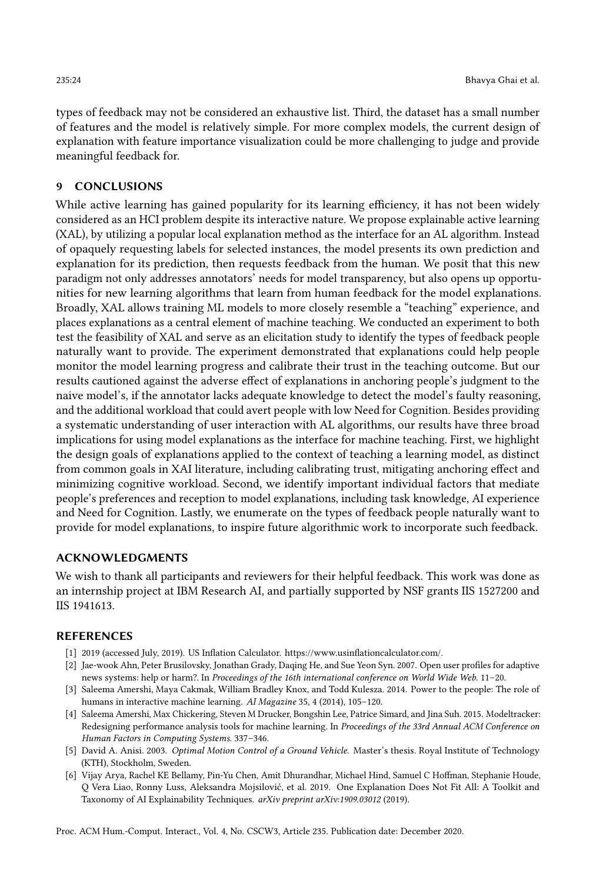types of feedback may not be considered an exhaustive list. Third, the dataset has a small number of features and the model is relatively simple. For more complex models, the current design of explanation with feature importance visualization could be more challenging to judge and provide meaningful feedback for.

# 9 CONCLUSIONS

While active learning has gained popularity for its learning efficiency, it has not been widely considered as an HCI problem despite its interactive nature. We propose explainable active learning (XAL), by utilizing a popular local explanation method as the interface for an AL algorithm. Instead of opaquely requesting labels for selected instances, the model presents its own prediction and explanation for its prediction, then requests feedback from the human. We posit that this new paradigm not only addresses annotators' needs for model transparency, but also opens up opportunities for new learning algorithms that learn from human feedback for the model explanations. Broadly, XAL allows training ML models to more closely resemble a "teaching" experience, and places explanations as a central element of machine teaching. We conducted an experiment to both test the feasibility of XAL and serve as an elicitation study to identify the types of feedback people naturally want to provide. The experiment demonstrated that explanations could help people monitor the model learning progress and calibrate their trust in the teaching outcome. But our results cautioned against the adverse effect of explanations in anchoring people's judgment to the naive model's, if the annotator lacks adequate knowledge to detect the model's faulty reasoning, and the additional workload that could avert people with low Need for Cognition. Besides providing a systematic understanding of user interaction with AL algorithms, our results have three broad implications for using model explanations as the interface for machine teaching. First, we highlight the design goals of explanations applied to the context of teaching a learning model, as distinct from common goals in XAI literature, including calibrating trust, mitigating anchoring effect and minimizing cognitive workload. Second, we identify important individual factors that mediate people's preferences and reception to model explanations, including task knowledge, AI experience and Need for Cognition. Lastly, we enumerate on the types of feedback people naturally want to provide for model explanations, to inspire future algorithmic work to incorporate such feedback.

## ACKNOWLEDGMENTS

We wish to thank all participants and reviewers for their helpful feedback. This work was done as an internship project at IBM Research AI, and partially supported by NSF grants IIS 1527200 and IIS 1941613.

#### REFERENCES

- <span id="page-23-5"></span>[1] 2019 (accessed July, 2019). US Inflation Calculator. [https://www.usinflationcalculator.com/.](https://www.usinflationcalculator.com/)
- <span id="page-23-2"></span>[2] Jae-wook Ahn, Peter Brusilovsky, Jonathan Grady, Daqing He, and Sue Yeon Syn. 2007. Open user profiles for adaptive news systems: help or harm?. In Proceedings of the 16th international conference on World Wide Web. 11–20.
- <span id="page-23-0"></span>[3] Saleema Amershi, Maya Cakmak, William Bradley Knox, and Todd Kulesza. 2014. Power to the people: The role of humans in interactive machine learning. AI Magazine 35, 4 (2014), 105-120.
- <span id="page-23-1"></span>[4] Saleema Amershi, Max Chickering, Steven M Drucker, Bongshin Lee, Patrice Simard, and Jina Suh. 2015. Modeltracker: Redesigning performance analysis tools for machine learning. In Proceedings of the 33rd Annual ACM Conference on Human Factors in Computing Systems. 337–346.
- <span id="page-23-3"></span>[5] David A. Anisi. 2003. Optimal Motion Control of a Ground Vehicle. Master's thesis. Royal Institute of Technology (KTH), Stockholm, Sweden.
- <span id="page-23-4"></span>[6] Vijay Arya, Rachel KE Bellamy, Pin-Yu Chen, Amit Dhurandhar, Michael Hind, Samuel C Hoffman, Stephanie Houde, Q Vera Liao, Ronny Luss, Aleksandra Mojsilović, et al. 2019. One Explanation Does Not Fit All: A Toolkit and Taxonomy of AI Explainability Techniques. arXiv preprint arXiv:1909.03012 (2019).

Proc. ACM Hum.-Comput. Interact., Vol. 4, No. CSCW3, Article 235. Publication date: December 2020.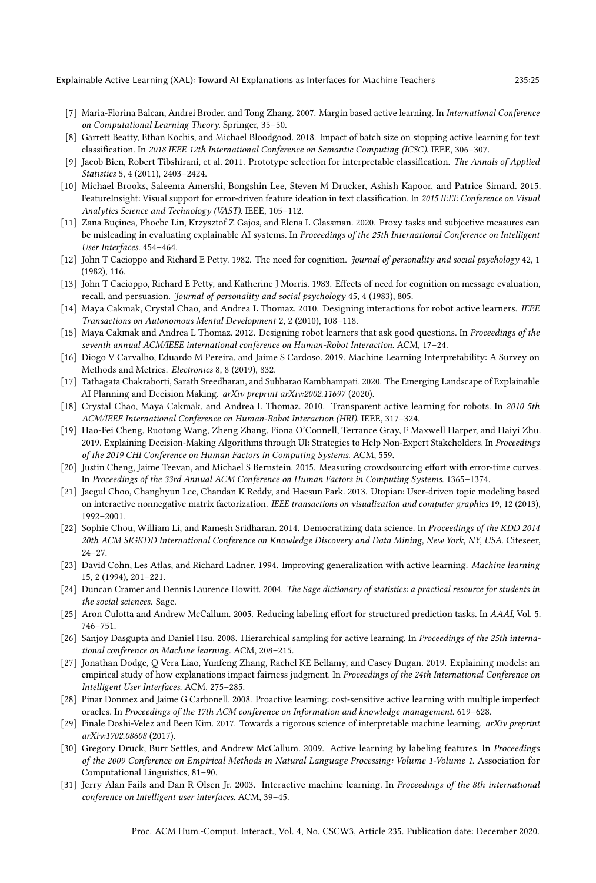Explainable Active Learning (XAL): Toward AI Explanations as Interfaces for Machine Teachers 235:25

- <span id="page-24-6"></span>[7] Maria-Florina Balcan, Andrei Broder, and Tong Zhang. 2007. Margin based active learning. In International Conference on Computational Learning Theory. Springer, 35–50.
- <span id="page-24-22"></span>[8] Garrett Beatty, Ethan Kochis, and Michael Bloodgood. 2018. Impact of batch size on stopping active learning for text classification. In 2018 IEEE 12th International Conference on Semantic Computing (ICSC). IEEE, 306–307.
- <span id="page-24-24"></span>[9] Jacob Bien, Robert Tibshirani, et al. 2011. Prototype selection for interpretable classification. The Annals of Applied Statistics 5, 4 (2011), 2403–2424.
- <span id="page-24-0"></span>[10] Michael Brooks, Saleema Amershi, Bongshin Lee, Steven M Drucker, Ashish Kapoor, and Patrice Simard. 2015. FeatureInsight: Visual support for error-driven feature ideation in text classification. In 2015 IEEE Conference on Visual Analytics Science and Technology (VAST). IEEE, 105–112.
- <span id="page-24-19"></span>[11] Zana Buçinca, Phoebe Lin, Krzysztof Z Gajos, and Elena L Glassman. 2020. Proxy tasks and subjective measures can be misleading in evaluating explainable AI systems. In Proceedings of the 25th International Conference on Intelligent User Interfaces. 454–464.
- <span id="page-24-20"></span>[12] John T Cacioppo and Richard E Petty. 1982. The need for cognition. Journal of personality and social psychology 42, 1 (1982), 116.
- <span id="page-24-21"></span>[13] John T Cacioppo, Richard E Petty, and Katherine J Morris. 1983. Effects of need for cognition on message evaluation, recall, and persuasion. Journal of personality and social psychology 45, 4 (1983), 805.
- <span id="page-24-10"></span>[14] Maya Cakmak, Crystal Chao, and Andrea L Thomaz. 2010. Designing interactions for robot active learners. IEEE Transactions on Autonomous Mental Development 2, 2 (2010), 108–118.
- <span id="page-24-11"></span>[15] Maya Cakmak and Andrea L Thomaz. 2012. Designing robot learners that ask good questions. In Proceedings of the seventh annual ACM/IEEE international conference on Human-Robot Interaction. ACM, 17–24.
- <span id="page-24-14"></span>[16] Diogo V Carvalho, Eduardo M Pereira, and Jaime S Cardoso. 2019. Machine Learning Interpretability: A Survey on Methods and Metrics. Electronics 8, 8 (2019), 832.
- <span id="page-24-17"></span>[17] Tathagata Chakraborti, Sarath Sreedharan, and Subbarao Kambhampati. 2020. The Emerging Landscape of Explainable AI Planning and Decision Making. arXiv preprint arXiv:2002.11697 (2020).
- <span id="page-24-12"></span>[18] Crystal Chao, Maya Cakmak, and Andrea L Thomaz. 2010. Transparent active learning for robots. In 2010 5th ACM/IEEE International Conference on Human-Robot Interaction (HRI). IEEE, 317–324.
- <span id="page-24-18"></span>[19] Hao-Fei Cheng, Ruotong Wang, Zheng Zhang, Fiona O'Connell, Terrance Gray, F Maxwell Harper, and Haiyi Zhu. 2019. Explaining Decision-Making Algorithms through UI: Strategies to Help Non-Expert Stakeholders. In Proceedings of the 2019 CHI Conference on Human Factors in Computing Systems. ACM, 559.
- <span id="page-24-8"></span>[20] Justin Cheng, Jaime Teevan, and Michael S Bernstein. 2015. Measuring crowdsourcing effort with error-time curves. In Proceedings of the 33rd Annual ACM Conference on Human Factors in Computing Systems. 1365–1374.
- <span id="page-24-13"></span>[21] Jaegul Choo, Changhyun Lee, Chandan K Reddy, and Haesun Park. 2013. Utopian: User-driven topic modeling based on interactive nonnegative matrix factorization. IEEE transactions on visualization and computer graphics 19, 12 (2013), 1992–2001.
- <span id="page-24-1"></span>[22] Sophie Chou, William Li, and Ramesh Sridharan. 2014. Democratizing data science. In Proceedings of the KDD 2014 20th ACM SIGKDD International Conference on Knowledge Discovery and Data Mining, New York, NY, USA. Citeseer, 24–27.
- <span id="page-24-3"></span>[23] David Cohn, Les Atlas, and Richard Ladner. 1994. Improving generalization with active learning. Machine learning 15, 2 (1994), 201–221.
- <span id="page-24-23"></span>[24] Duncan Cramer and Dennis Laurence Howitt. 2004. The Sage dictionary of statistics: a practical resource for students in the social sciences. Sage.
- <span id="page-24-4"></span>[25] Aron Culotta and Andrew McCallum. 2005. Reducing labeling effort for structured prediction tasks. In AAAI, Vol. 5. 746–751.
- <span id="page-24-5"></span>[26] Sanjoy Dasgupta and Daniel Hsu. 2008. Hierarchical sampling for active learning. In Proceedings of the 25th international conference on Machine learning. ACM, 208–215.
- <span id="page-24-16"></span>[27] Jonathan Dodge, Q Vera Liao, Yunfeng Zhang, Rachel KE Bellamy, and Casey Dugan. 2019. Explaining models: an empirical study of how explanations impact fairness judgment. In Proceedings of the 24th International Conference on Intelligent User Interfaces. ACM, 275–285.
- <span id="page-24-9"></span>[28] Pinar Donmez and Jaime G Carbonell. 2008. Proactive learning: cost-sensitive active learning with multiple imperfect oracles. In Proceedings of the 17th ACM conference on Information and knowledge management. 619–628.
- <span id="page-24-15"></span>[29] Finale Doshi-Velez and Been Kim. 2017. Towards a rigorous science of interpretable machine learning. arXiv preprint arXiv:1702.08608 (2017).
- <span id="page-24-7"></span>[30] Gregory Druck, Burr Settles, and Andrew McCallum. 2009. Active learning by labeling features. In Proceedings of the 2009 Conference on Empirical Methods in Natural Language Processing: Volume 1-Volume 1. Association for Computational Linguistics, 81–90.
- <span id="page-24-2"></span>[31] Jerry Alan Fails and Dan R Olsen Jr. 2003. Interactive machine learning. In Proceedings of the 8th international conference on Intelligent user interfaces. ACM, 39–45.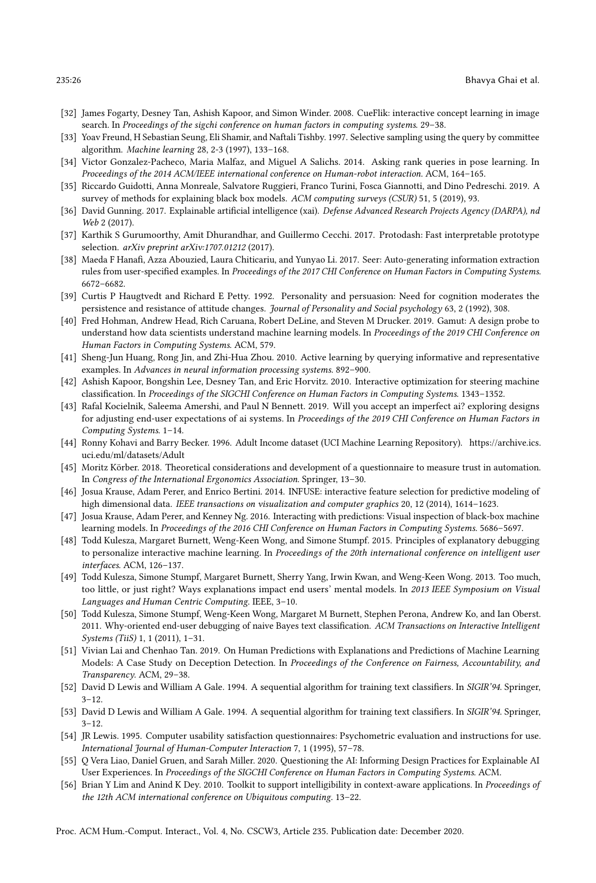- <span id="page-25-0"></span>[32] James Fogarty, Desney Tan, Ashish Kapoor, and Simon Winder. 2008. CueFlik: interactive concept learning in image search. In Proceedings of the sigchi conference on human factors in computing systems. 29–38.
- <span id="page-25-4"></span>[33] Yoav Freund, H Sebastian Seung, Eli Shamir, and Naftali Tishby. 1997. Selective sampling using the query by committee algorithm. Machine learning 28, 2-3 (1997), 133–168.
- <span id="page-25-8"></span>[34] Victor Gonzalez-Pacheco, Maria Malfaz, and Miguel A Salichs. 2014. Asking rank queries in pose learning. In Proceedings of the 2014 ACM/IEEE international conference on Human-robot interaction. ACM, 164–165.
- <span id="page-25-12"></span>[35] Riccardo Guidotti, Anna Monreale, Salvatore Ruggieri, Franco Turini, Fosca Giannotti, and Dino Pedreschi. 2019. A survey of methods for explaining black box models. ACM computing surveys (CSUR) 51, 5 (2019), 93.
- <span id="page-25-2"></span>[36] David Gunning. 2017. Explainable artificial intelligence (xai). Defense Advanced Research Projects Agency (DARPA), nd Web 2 (2017).
- <span id="page-25-23"></span>[37] Karthik S Gurumoorthy, Amit Dhurandhar, and Guillermo Cecchi. 2017. Protodash: Fast interpretable prototype selection. arXiv preprint arXiv:1707.01212 (2017).
- <span id="page-25-24"></span>[38] Maeda F Hanafi, Azza Abouzied, Laura Chiticariu, and Yunyao Li. 2017. Seer: Auto-generating information extraction rules from user-specified examples. In Proceedings of the 2017 CHI Conference on Human Factors in Computing Systems. 6672–6682.
- <span id="page-25-17"></span>[39] Curtis P Haugtvedt and Richard E Petty. 1992. Personality and persuasion: Need for cognition moderates the persistence and resistance of attitude changes. Journal of Personality and Social psychology 63, 2 (1992), 308.
- <span id="page-25-10"></span>[40] Fred Hohman, Andrew Head, Rich Caruana, Robert DeLine, and Steven M Drucker. 2019. Gamut: A design probe to understand how data scientists understand machine learning models. In Proceedings of the 2019 CHI Conference on Human Factors in Computing Systems. ACM, 579.
- <span id="page-25-5"></span>[41] Sheng-Jun Huang, Rong Jin, and Zhi-Hua Zhou. 2010. Active learning by querying informative and representative examples. In Advances in neural information processing systems. 892–900.
- <span id="page-25-7"></span>[42] Ashish Kapoor, Bongshin Lee, Desney Tan, and Eric Horvitz. 2010. Interactive optimization for steering machine classification. In Proceedings of the SIGCHI Conference on Human Factors in Computing Systems. 1343–1352.
- <span id="page-25-16"></span>[43] Rafal Kocielnik, Saleema Amershi, and Paul N Bennett. 2019. Will you accept an imperfect ai? exploring designs for adjusting end-user expectations of ai systems. In Proceedings of the 2019 CHI Conference on Human Factors in Computing Systems. 1–14.
- <span id="page-25-19"></span>[44] Ronny Kohavi and Barry Becker. 1996. Adult Income dataset (UCI Machine Learning Repository). [https://archive.ics.](https://archive.ics.uci.edu/ml/datasets/Adult) [uci.edu/ml/datasets/Adult](https://archive.ics.uci.edu/ml/datasets/Adult)
- <span id="page-25-20"></span>[45] Moritz Körber. 2018. Theoretical considerations and development of a questionnaire to measure trust in automation. In Congress of the International Ergonomics Association. Springer, 13–30.
- <span id="page-25-14"></span>[46] Josua Krause, Adam Perer, and Enrico Bertini. 2014. INFUSE: interactive feature selection for predictive modeling of high dimensional data. IEEE transactions on visualization and computer graphics 20, 12 (2014), 1614-1623.
- <span id="page-25-11"></span>[47] Josua Krause, Adam Perer, and Kenney Ng. 2016. Interacting with predictions: Visual inspection of black-box machine learning models. In Proceedings of the 2016 CHI Conference on Human Factors in Computing Systems. 5686–5697.
- <span id="page-25-1"></span>[48] Todd Kulesza, Margaret Burnett, Weng-Keen Wong, and Simone Stumpf. 2015. Principles of explanatory debugging to personalize interactive machine learning. In Proceedings of the 20th international conference on intelligent user interfaces. ACM, 126–137.
- <span id="page-25-9"></span>[49] Todd Kulesza, Simone Stumpf, Margaret Burnett, Sherry Yang, Irwin Kwan, and Weng-Keen Wong. 2013. Too much, too little, or just right? Ways explanations impact end users' mental models. In 2013 IEEE Symposium on Visual Languages and Human Centric Computing. IEEE, 3–10.
- <span id="page-25-18"></span>[50] Todd Kulesza, Simone Stumpf, Weng-Keen Wong, Margaret M Burnett, Stephen Perona, Andrew Ko, and Ian Oberst. 2011. Why-oriented end-user debugging of naive Bayes text classification. ACM Transactions on Interactive Intelligent Systems (TiiS) 1, 1 (2011), 1–31.
- <span id="page-25-22"></span>[51] Vivian Lai and Chenhao Tan. 2019. On Human Predictions with Explanations and Predictions of Machine Learning Models: A Case Study on Deception Detection. In Proceedings of the Conference on Fairness, Accountability, and Transparency. ACM, 29–38.
- <span id="page-25-3"></span>[52] David D Lewis and William A Gale. 1994. A sequential algorithm for training text classifiers. In SIGIR'94. Springer,  $3 - 12.$
- <span id="page-25-6"></span>[53] David D Lewis and William A Gale. 1994. A sequential algorithm for training text classifiers. In SIGIR'94. Springer,  $3 - 12$ .
- <span id="page-25-21"></span>[54] JR Lewis. 1995. Computer usability satisfaction questionnaires: Psychometric evaluation and instructions for use. International Journal of Human-Computer Interaction 7, 1 (1995), 57–78.
- <span id="page-25-13"></span>[55] Q Vera Liao, Daniel Gruen, and Sarah Miller. 2020. Questioning the AI: Informing Design Practices for Explainable AI User Experiences. In Proceedings of the SIGCHI Conference on Human Factors in Computing Systems. ACM.
- <span id="page-25-15"></span>[56] Brian Y Lim and Anind K Dey. 2010. Toolkit to support intelligibility in context-aware applications. In Proceedings of the 12th ACM international conference on Ubiquitous computing. 13–22.

Proc. ACM Hum.-Comput. Interact., Vol. 4, No. CSCW3, Article 235. Publication date: December 2020.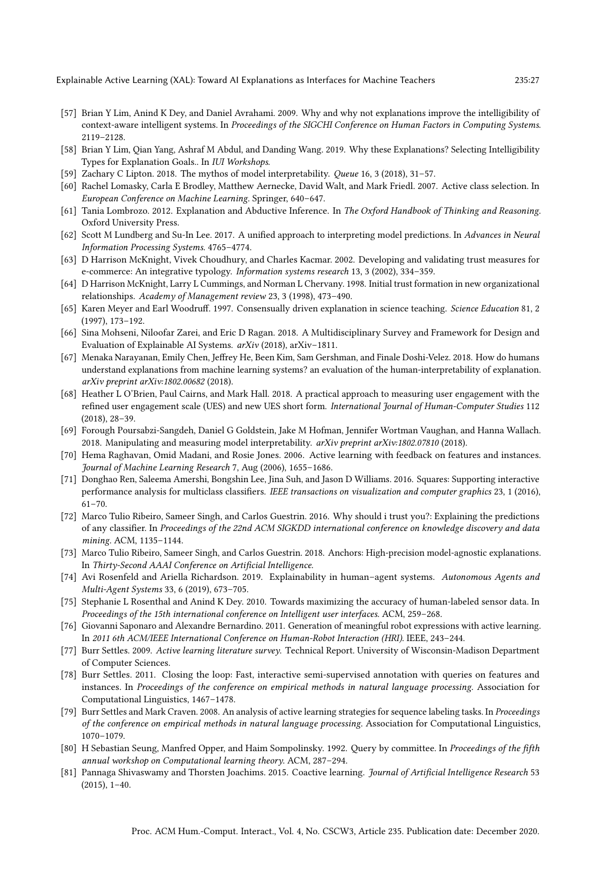Explainable Active Learning (XAL): Toward AI Explanations as Interfaces for Machine Teachers 235:27

- <span id="page-26-17"></span>[57] Brian Y Lim, Anind K Dey, and Daniel Avrahami. 2009. Why and why not explanations improve the intelligibility of context-aware intelligent systems. In Proceedings of the SIGCHI Conference on Human Factors in Computing Systems. 2119–2128.
- <span id="page-26-13"></span>[58] Brian Y Lim, Qian Yang, Ashraf M Abdul, and Danding Wang. 2019. Why these Explanations? Selecting Intelligibility Types for Explanation Goals.. In IUI Workshops.
- <span id="page-26-14"></span>[59] Zachary C Lipton. 2018. The mythos of model interpretability. Queue 16, 3 (2018), 31–57.
- <span id="page-26-10"></span>[60] Rachel Lomasky, Carla E Brodley, Matthew Aernecke, David Walt, and Mark Friedl. 2007. Active class selection. In European Conference on Machine Learning. Springer, 640–647.
- <span id="page-26-5"></span>[61] Tania Lombrozo. 2012. Explanation and Abductive Inference. In The Oxford Handbook of Thinking and Reasoning. Oxford University Press.
- <span id="page-26-2"></span>[62] Scott M Lundberg and Su-In Lee. 2017. A unified approach to interpreting model predictions. In Advances in Neural Information Processing Systems. 4765–4774.
- <span id="page-26-21"></span>[63] D Harrison McKnight, Vivek Choudhury, and Charles Kacmar. 2002. Developing and validating trust measures for e-commerce: An integrative typology. Information systems research 13, 3 (2002), 334–359.
- <span id="page-26-22"></span>[64] D Harrison McKnight, Larry L Cummings, and Norman L Chervany. 1998. Initial trust formation in new organizational relationships. Academy of Management review 23, 3 (1998), 473–490.
- <span id="page-26-4"></span>[65] Karen Meyer and Earl Woodruff. 1997. Consensually driven explanation in science teaching. Science Education 81, 2 (1997), 173–192.
- <span id="page-26-15"></span>[66] Sina Mohseni, Niloofar Zarei, and Eric D Ragan. 2018. A Multidisciplinary Survey and Framework for Design and Evaluation of Explainable AI Systems. arXiv (2018), arXiv–1811.
- <span id="page-26-19"></span>[67] Menaka Narayanan, Emily Chen, Jeffrey He, Been Kim, Sam Gershman, and Finale Doshi-Velez. 2018. How do humans understand explanations from machine learning systems? an evaluation of the human-interpretability of explanation. arXiv preprint arXiv:1802.00682 (2018).
- <span id="page-26-23"></span>[68] Heather L O'Brien, Paul Cairns, and Mark Hall. 2018. A practical approach to measuring user engagement with the refined user engagement scale (UES) and new UES short form. International Journal of Human-Computer Studies 112 (2018), 28–39.
- <span id="page-26-18"></span>[69] Forough Poursabzi-Sangdeh, Daniel G Goldstein, Jake M Hofman, Jennifer Wortman Vaughan, and Hanna Wallach. 2018. Manipulating and measuring model interpretability. arXiv preprint arXiv:1802.07810 (2018).
- <span id="page-26-8"></span>[70] Hema Raghavan, Omid Madani, and Rosie Jones. 2006. Active learning with feedback on features and instances. Journal of Machine Learning Research 7, Aug (2006), 1655–1686.
- <span id="page-26-12"></span>[71] Donghao Ren, Saleema Amershi, Bongshin Lee, Jina Suh, and Jason D Williams. 2016. Squares: Supporting interactive performance analysis for multiclass classifiers. IEEE transactions on visualization and computer graphics 23, 1 (2016), 61–70.
- <span id="page-26-3"></span>[72] Marco Tulio Ribeiro, Sameer Singh, and Carlos Guestrin. 2016. Why should i trust you?: Explaining the predictions of any classifier. In Proceedings of the 22nd ACM SIGKDD international conference on knowledge discovery and data mining. ACM, 1135–1144.
- <span id="page-26-24"></span>[73] Marco Tulio Ribeiro, Sameer Singh, and Carlos Guestrin. 2018. Anchors: High-precision model-agnostic explanations. In Thirty-Second AAAI Conference on Artificial Intelligence.
- <span id="page-26-16"></span>[74] Avi Rosenfeld and Ariella Richardson. 2019. Explainability in human–agent systems. Autonomous Agents and Multi-Agent Systems 33, 6 (2019), 673–705.
- <span id="page-26-1"></span>[75] Stephanie L Rosenthal and Anind K Dey. 2010. Towards maximizing the accuracy of human-labeled sensor data. In Proceedings of the 15th international conference on Intelligent user interfaces. ACM, 259–268.
- <span id="page-26-11"></span>[76] Giovanni Saponaro and Alexandre Bernardino. 2011. Generation of meaningful robot expressions with active learning. In 2011 6th ACM/IEEE International Conference on Human-Robot Interaction (HRI). IEEE, 243–244.
- <span id="page-26-0"></span>[77] Burr Settles. 2009. Active learning literature survey. Technical Report. University of Wisconsin-Madison Department of Computer Sciences.
- <span id="page-26-9"></span>[78] Burr Settles. 2011. Closing the loop: Fast, interactive semi-supervised annotation with queries on features and instances. In Proceedings of the conference on empirical methods in natural language processing. Association for Computational Linguistics, 1467–1478.
- <span id="page-26-6"></span>[79] Burr Settles and Mark Craven. 2008. An analysis of active learning strategies for sequence labeling tasks. In Proceedings of the conference on empirical methods in natural language processing. Association for Computational Linguistics, 1070–1079.
- <span id="page-26-7"></span>[80] H Sebastian Seung, Manfred Opper, and Haim Sompolinsky. 1992. Query by committee. In Proceedings of the fifth annual workshop on Computational learning theory. ACM, 287–294.
- <span id="page-26-20"></span>[81] Pannaga Shivaswamy and Thorsten Joachims. 2015. Coactive learning. Journal of Artificial Intelligence Research 53 (2015), 1–40.